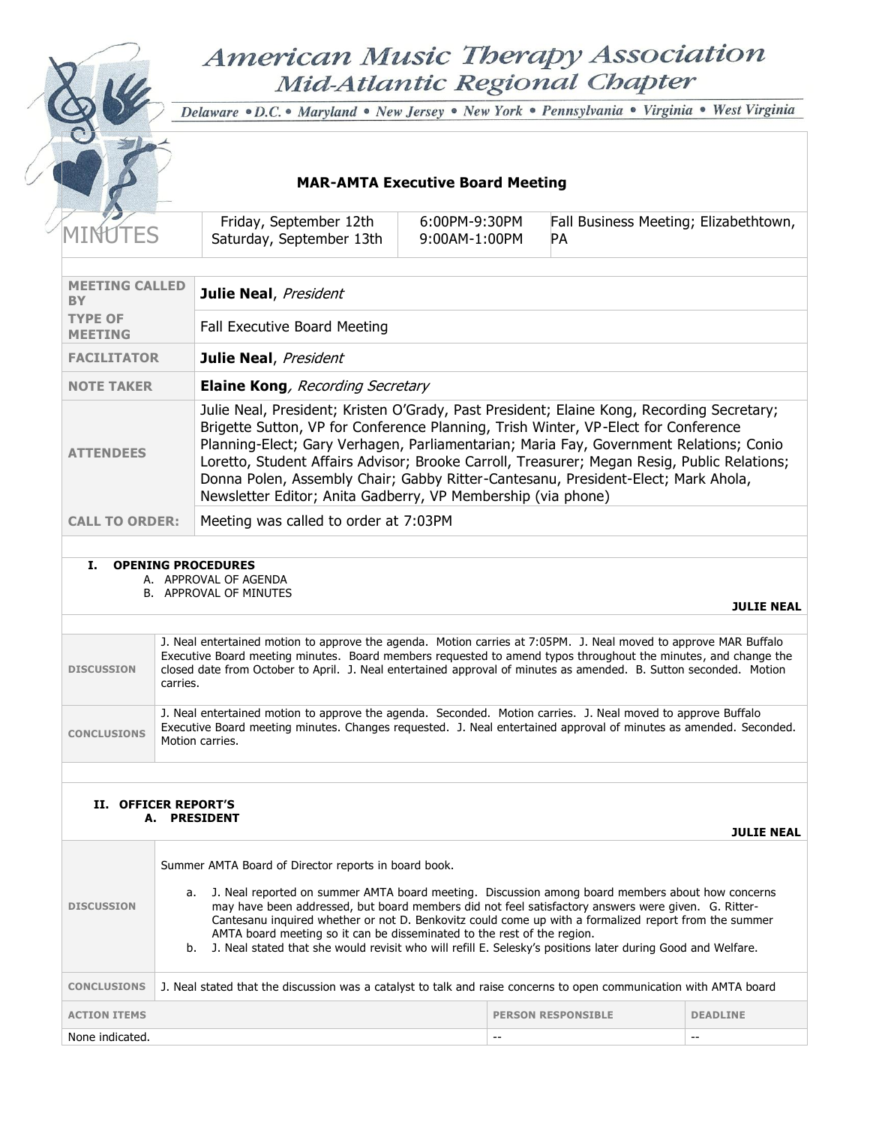# American Music Therapy Association Mid-Atlantic Regional Chapter



Delaware · D.C. · Maryland · New Jersey · New York · Pennsylvania · Virginia · West Virginia

# **MAR-AMTA Executive Board Meeting**

|                                                                                                                                                                                                                                                                                                                                                                                                                                                                                                            |  | Friday, September 12th<br>Saturday, September 13th           | 6:00PM-9:30PM<br>$9:00AM-1:00PM$ | Fall Business Meeting; Elizabethtown,<br><b>PA</b>                                                                                                                                                                                                                                                                                                                                                                                                            |
|------------------------------------------------------------------------------------------------------------------------------------------------------------------------------------------------------------------------------------------------------------------------------------------------------------------------------------------------------------------------------------------------------------------------------------------------------------------------------------------------------------|--|--------------------------------------------------------------|----------------------------------|---------------------------------------------------------------------------------------------------------------------------------------------------------------------------------------------------------------------------------------------------------------------------------------------------------------------------------------------------------------------------------------------------------------------------------------------------------------|
|                                                                                                                                                                                                                                                                                                                                                                                                                                                                                                            |  |                                                              |                                  |                                                                                                                                                                                                                                                                                                                                                                                                                                                               |
| <b>MEETING CALLED</b><br><b>BY</b>                                                                                                                                                                                                                                                                                                                                                                                                                                                                         |  | Julie Neal, President                                        |                                  |                                                                                                                                                                                                                                                                                                                                                                                                                                                               |
| <b>TYPE OF</b><br><b>MEETING</b>                                                                                                                                                                                                                                                                                                                                                                                                                                                                           |  | Fall Executive Board Meeting                                 |                                  |                                                                                                                                                                                                                                                                                                                                                                                                                                                               |
| <b>FACILITATOR</b>                                                                                                                                                                                                                                                                                                                                                                                                                                                                                         |  | Julie Neal, President                                        |                                  |                                                                                                                                                                                                                                                                                                                                                                                                                                                               |
| <b>NOTE TAKER</b>                                                                                                                                                                                                                                                                                                                                                                                                                                                                                          |  | <b>Elaine Kong</b> , Recording Secretary                     |                                  |                                                                                                                                                                                                                                                                                                                                                                                                                                                               |
| <b>ATTENDEES</b>                                                                                                                                                                                                                                                                                                                                                                                                                                                                                           |  | Newsletter Editor; Anita Gadberry, VP Membership (via phone) |                                  | Julie Neal, President; Kristen O'Grady, Past President; Elaine Kong, Recording Secretary;<br>Brigette Sutton, VP for Conference Planning, Trish Winter, VP-Elect for Conference<br>Planning-Elect; Gary Verhagen, Parliamentarian; Maria Fay, Government Relations; Conio<br>Loretto, Student Affairs Advisor; Brooke Carroll, Treasurer; Megan Resig, Public Relations;<br>Donna Polen, Assembly Chair; Gabby Ritter-Cantesanu, President-Elect; Mark Ahola, |
| <b>CALL TO ORDER:</b>                                                                                                                                                                                                                                                                                                                                                                                                                                                                                      |  | Meeting was called to order at 7:03PM                        |                                  |                                                                                                                                                                                                                                                                                                                                                                                                                                                               |
| T.<br><b>OPENING PROCEDURES</b><br>A. APPROVAL OF AGENDA<br><b>B. APPROVAL OF MINUTES</b><br><b>JULIE NEAL</b><br>J. Neal entertained motion to approve the agenda. Motion carries at 7:05PM. J. Neal moved to approve MAR Buffalo<br>Executive Board meeting minutes. Board members requested to amend typos throughout the minutes, and change the<br>closed date from October to April. J. Neal entertained approval of minutes as amended. B. Sutton seconded. Motion<br><b>DISCUSSION</b><br>carries. |  |                                                              |                                  |                                                                                                                                                                                                                                                                                                                                                                                                                                                               |

**CONCLUSIONS** J. Neal entertained motion to approve the agenda. Seconded. Motion carries. J. Neal moved to approve Buffalo Executive Board meeting minutes. Changes requested. J. Neal entertained approval of minutes as amended. Seconded. Motion carries.

#### **II. OFFICER REPORT'S A. PRESIDENT**

|                     |                                                                                                                                                                                                                                                                                                                                                                                                                                                                                                                                                                          |                           | <b>JULIE NEAL</b> |
|---------------------|--------------------------------------------------------------------------------------------------------------------------------------------------------------------------------------------------------------------------------------------------------------------------------------------------------------------------------------------------------------------------------------------------------------------------------------------------------------------------------------------------------------------------------------------------------------------------|---------------------------|-------------------|
| <b>DISCUSSION</b>   | Summer AMTA Board of Director reports in board book.<br>a. J. Neal reported on summer AMTA board meeting. Discussion among board members about how concerns<br>may have been addressed, but board members did not feel satisfactory answers were given. G. Ritter-<br>Cantesanu inquired whether or not D. Benkovitz could come up with a formalized report from the summer<br>AMTA board meeting so it can be disseminated to the rest of the region.<br>b. J. Neal stated that she would revisit who will refill E. Selesky's positions later during Good and Welfare. |                           |                   |
| <b>CONCLUSIONS</b>  | J. Neal stated that the discussion was a catalyst to talk and raise concerns to open communication with AMTA board                                                                                                                                                                                                                                                                                                                                                                                                                                                       |                           |                   |
| <b>ACTION ITEMS</b> |                                                                                                                                                                                                                                                                                                                                                                                                                                                                                                                                                                          | <b>PERSON RESPONSIBLE</b> | <b>DEADLINE</b>   |
| None indicated.     |                                                                                                                                                                                                                                                                                                                                                                                                                                                                                                                                                                          |                           |                   |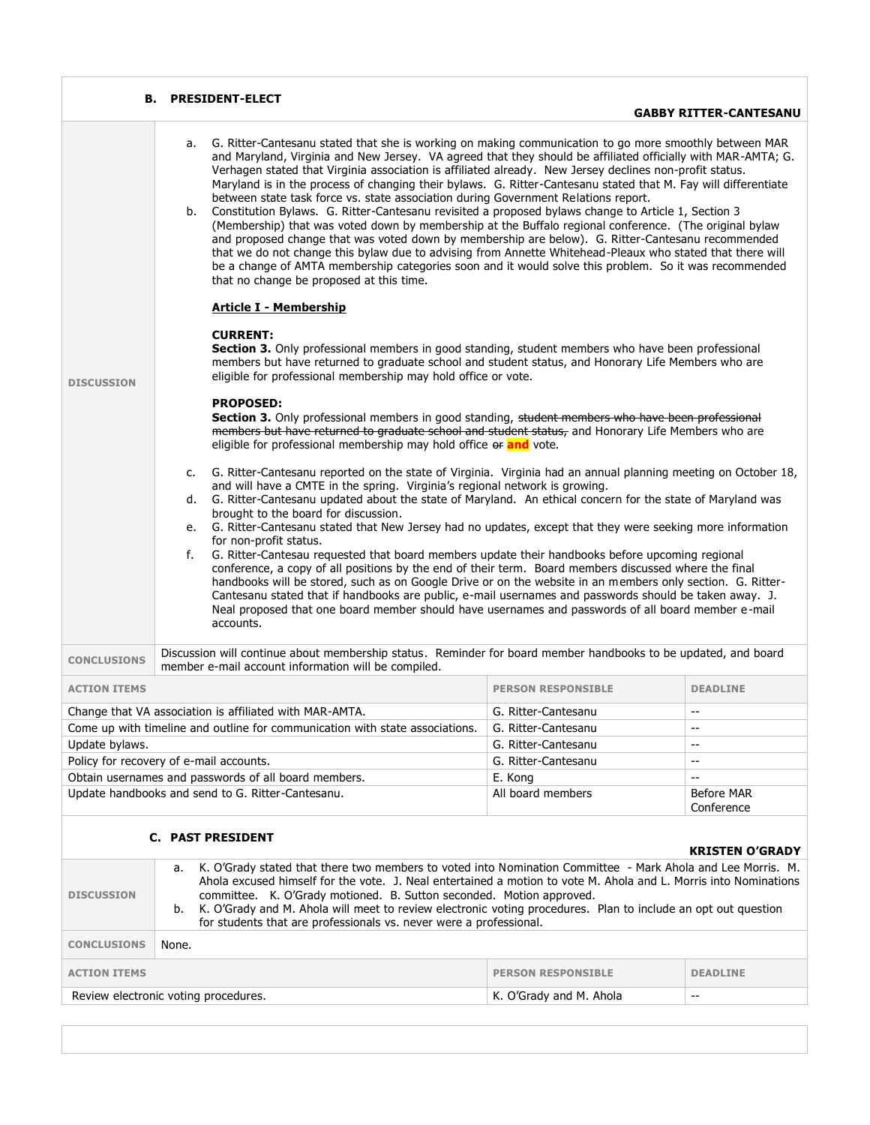| В.                                                                               | <b>PRESIDENT-ELECT</b>                                                                                                                                                                                                                                                                                                                                                                                                                                                                                                                                                                                                                                                                                                                                                                                                                                                                                                                                                                                                                                                                                                                        |                           |                               |  |
|----------------------------------------------------------------------------------|-----------------------------------------------------------------------------------------------------------------------------------------------------------------------------------------------------------------------------------------------------------------------------------------------------------------------------------------------------------------------------------------------------------------------------------------------------------------------------------------------------------------------------------------------------------------------------------------------------------------------------------------------------------------------------------------------------------------------------------------------------------------------------------------------------------------------------------------------------------------------------------------------------------------------------------------------------------------------------------------------------------------------------------------------------------------------------------------------------------------------------------------------|---------------------------|-------------------------------|--|
|                                                                                  |                                                                                                                                                                                                                                                                                                                                                                                                                                                                                                                                                                                                                                                                                                                                                                                                                                                                                                                                                                                                                                                                                                                                               |                           | <b>GABBY RITTER-CANTESANU</b> |  |
|                                                                                  | G. Ritter-Cantesanu stated that she is working on making communication to go more smoothly between MAR<br>a.<br>and Maryland, Virginia and New Jersey. VA agreed that they should be affiliated officially with MAR-AMTA; G.<br>Verhagen stated that Virginia association is affiliated already. New Jersey declines non-profit status.<br>Maryland is in the process of changing their bylaws. G. Ritter-Cantesanu stated that M. Fay will differentiate<br>between state task force vs. state association during Government Relations report.<br>Constitution Bylaws. G. Ritter-Cantesanu revisited a proposed bylaws change to Article 1, Section 3<br>b.<br>(Membership) that was voted down by membership at the Buffalo regional conference. (The original bylaw<br>and proposed change that was voted down by membership are below). G. Ritter-Cantesanu recommended<br>that we do not change this bylaw due to advising from Annette Whitehead-Pleaux who stated that there will<br>be a change of AMTA membership categories soon and it would solve this problem. So it was recommended<br>that no change be proposed at this time. |                           |                               |  |
|                                                                                  | <b>Article I - Membership</b>                                                                                                                                                                                                                                                                                                                                                                                                                                                                                                                                                                                                                                                                                                                                                                                                                                                                                                                                                                                                                                                                                                                 |                           |                               |  |
| <b>DISCUSSION</b>                                                                | <b>CURRENT:</b><br>Section 3. Only professional members in good standing, student members who have been professional<br>members but have returned to graduate school and student status, and Honorary Life Members who are<br>eligible for professional membership may hold office or vote.<br><b>PROPOSED:</b><br>Section 3. Only professional members in good standing, student members who have been professional                                                                                                                                                                                                                                                                                                                                                                                                                                                                                                                                                                                                                                                                                                                          |                           |                               |  |
|                                                                                  | members but have returned to graduate school and student status, and Honorary Life Members who are<br>eligible for professional membership may hold office or and vote.                                                                                                                                                                                                                                                                                                                                                                                                                                                                                                                                                                                                                                                                                                                                                                                                                                                                                                                                                                       |                           |                               |  |
|                                                                                  | G. Ritter-Cantesanu reported on the state of Virginia. Virginia had an annual planning meeting on October 18,<br>c.<br>and will have a CMTE in the spring. Virginia's regional network is growing.<br>d. G. Ritter-Cantesanu updated about the state of Maryland. An ethical concern for the state of Maryland was<br>brought to the board for discussion.<br>e. G. Ritter-Cantesanu stated that New Jersey had no updates, except that they were seeking more information<br>for non-profit status.<br>G. Ritter-Cantesau requested that board members update their handbooks before upcoming regional<br>f.<br>conference, a copy of all positions by the end of their term. Board members discussed where the final<br>handbooks will be stored, such as on Google Drive or on the website in an members only section. G. Ritter-<br>Cantesanu stated that if handbooks are public, e-mail usernames and passwords should be taken away. J.<br>Neal proposed that one board member should have usernames and passwords of all board member e-mail<br>accounts.                                                                             |                           |                               |  |
| <b>CONCLUSIONS</b>                                                               | Discussion will continue about membership status. Reminder for board member handbooks to be updated, and board<br>member e-mail account information will be compiled.                                                                                                                                                                                                                                                                                                                                                                                                                                                                                                                                                                                                                                                                                                                                                                                                                                                                                                                                                                         |                           |                               |  |
| <b>ACTION ITEMS</b>                                                              |                                                                                                                                                                                                                                                                                                                                                                                                                                                                                                                                                                                                                                                                                                                                                                                                                                                                                                                                                                                                                                                                                                                                               | <b>PERSON RESPONSIBLE</b> | <b>DEADLINE</b>               |  |
|                                                                                  | Change that VA association is affiliated with MAR-AMTA.                                                                                                                                                                                                                                                                                                                                                                                                                                                                                                                                                                                                                                                                                                                                                                                                                                                                                                                                                                                                                                                                                       | G. Ritter-Cantesanu       | $\sim$ $\sim$                 |  |
|                                                                                  | Come up with timeline and outline for communication with state associations.                                                                                                                                                                                                                                                                                                                                                                                                                                                                                                                                                                                                                                                                                                                                                                                                                                                                                                                                                                                                                                                                  | G. Ritter-Cantesanu       | $\sim$ $\sim$                 |  |
| Update bylaws.                                                                   |                                                                                                                                                                                                                                                                                                                                                                                                                                                                                                                                                                                                                                                                                                                                                                                                                                                                                                                                                                                                                                                                                                                                               | G. Ritter-Cantesanu       | $\sim$ $\sim$                 |  |
|                                                                                  | Policy for recovery of e-mail accounts.                                                                                                                                                                                                                                                                                                                                                                                                                                                                                                                                                                                                                                                                                                                                                                                                                                                                                                                                                                                                                                                                                                       | G. Ritter-Cantesanu       | $\overline{\phantom{a}}$      |  |
|                                                                                  | Obtain usernames and passwords of all board members.                                                                                                                                                                                                                                                                                                                                                                                                                                                                                                                                                                                                                                                                                                                                                                                                                                                                                                                                                                                                                                                                                          | E. Kong                   | $\overline{a}$                |  |
|                                                                                  | Update handbooks and send to G. Ritter-Cantesanu.                                                                                                                                                                                                                                                                                                                                                                                                                                                                                                                                                                                                                                                                                                                                                                                                                                                                                                                                                                                                                                                                                             | All board members         | Before MAR<br>Conference      |  |
|                                                                                  | <b>C. PAST PRESIDENT</b>                                                                                                                                                                                                                                                                                                                                                                                                                                                                                                                                                                                                                                                                                                                                                                                                                                                                                                                                                                                                                                                                                                                      |                           | <b>KRISTEN O'GRADY</b>        |  |
| <b>DISCUSSION</b>                                                                | K. O'Grady stated that there two members to voted into Nomination Committee - Mark Ahola and Lee Morris. M.<br>а.<br>Ahola excused himself for the vote. J. Neal entertained a motion to vote M. Ahola and L. Morris into Nominations<br>committee. K. O'Grady motioned. B. Sutton seconded. Motion approved.<br>K. O'Grady and M. Ahola will meet to review electronic voting procedures. Plan to include an opt out question<br>b.<br>for students that are professionals vs. never were a professional.                                                                                                                                                                                                                                                                                                                                                                                                                                                                                                                                                                                                                                    |                           |                               |  |
| <b>CONCLUSIONS</b>                                                               | None.                                                                                                                                                                                                                                                                                                                                                                                                                                                                                                                                                                                                                                                                                                                                                                                                                                                                                                                                                                                                                                                                                                                                         |                           |                               |  |
| <b>ACTION ITEMS</b>                                                              | <b>PERSON RESPONSIBLE</b><br><b>DEADLINE</b>                                                                                                                                                                                                                                                                                                                                                                                                                                                                                                                                                                                                                                                                                                                                                                                                                                                                                                                                                                                                                                                                                                  |                           |                               |  |
| Review electronic voting procedures.<br>K. O'Grady and M. Ahola<br>$\sim$ $\sim$ |                                                                                                                                                                                                                                                                                                                                                                                                                                                                                                                                                                                                                                                                                                                                                                                                                                                                                                                                                                                                                                                                                                                                               |                           |                               |  |
|                                                                                  |                                                                                                                                                                                                                                                                                                                                                                                                                                                                                                                                                                                                                                                                                                                                                                                                                                                                                                                                                                                                                                                                                                                                               |                           |                               |  |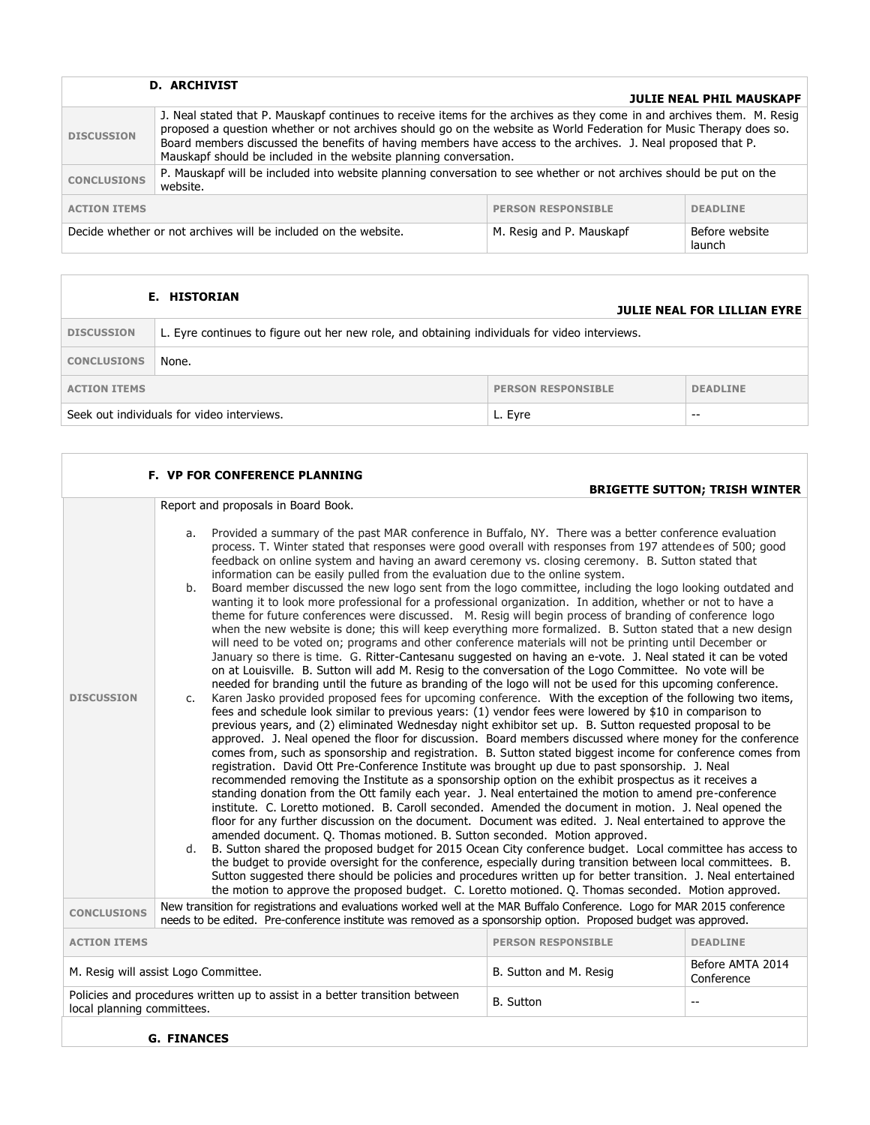|                                                                 | <b>D. ARCHIVIST</b>                                                                                                                                                                                                                                                                                                                                                                                                                 |                          | <b>JULIE NEAL PHIL MAUSKAPF</b> |
|-----------------------------------------------------------------|-------------------------------------------------------------------------------------------------------------------------------------------------------------------------------------------------------------------------------------------------------------------------------------------------------------------------------------------------------------------------------------------------------------------------------------|--------------------------|---------------------------------|
| <b>DISCUSSION</b>                                               | J. Neal stated that P. Mauskapf continues to receive items for the archives as they come in and archives them. M. Resig<br>proposed a question whether or not archives should go on the website as World Federation for Music Therapy does so.<br>Board members discussed the benefits of having members have access to the archives. J. Neal proposed that P.<br>Mauskapf should be included in the website planning conversation. |                          |                                 |
| <b>CONCLUSIONS</b>                                              | P. Mauskapf will be included into website planning conversation to see whether or not archives should be put on the<br>website.                                                                                                                                                                                                                                                                                                     |                          |                                 |
| <b>PERSON RESPONSIBLE</b><br><b>ACTION ITEMS</b>                |                                                                                                                                                                                                                                                                                                                                                                                                                                     | <b>DEADLINE</b>          |                                 |
| Decide whether or not archives will be included on the website. |                                                                                                                                                                                                                                                                                                                                                                                                                                     | M. Resig and P. Mauskapf | Before website<br>launch        |

|                                                                     | E. HISTORIAN                                                                                  |  | <b>JULIE NEAL FOR LILLIAN EYRE</b> |
|---------------------------------------------------------------------|-----------------------------------------------------------------------------------------------|--|------------------------------------|
| <b>DISCUSSION</b>                                                   | L. Eyre continues to figure out her new role, and obtaining individuals for video interviews. |  |                                    |
| <b>CONCLUSIONS</b>                                                  | None.                                                                                         |  |                                    |
| <b>PERSON RESPONSIBLE</b><br><b>ACTION ITEMS</b><br><b>DEADLINE</b> |                                                                                               |  |                                    |
| Seek out individuals for video interviews.<br>L. Eyre               |                                                                                               |  | --                                 |

|                     | <b>F. VP FOR CONFERENCE PLANNING</b>                                                                                                                                                                                                                                                                                                                                                                                                                                                                                                                                                                                                                                                                                                                                                                                                                                                                                                                                                                                                                                                                                                                                                                                                                                                                                                                                                                                                                                                                                                                                                                                                                                                                                                                                                                                                                                                                                                                                                                                                                                                                                                                                                                                                                                                                                                                                                                                                                                                                                                                                                                                                                                                                                                                                                                                                                                                                                                                                                                 |                           |                                      |
|---------------------|------------------------------------------------------------------------------------------------------------------------------------------------------------------------------------------------------------------------------------------------------------------------------------------------------------------------------------------------------------------------------------------------------------------------------------------------------------------------------------------------------------------------------------------------------------------------------------------------------------------------------------------------------------------------------------------------------------------------------------------------------------------------------------------------------------------------------------------------------------------------------------------------------------------------------------------------------------------------------------------------------------------------------------------------------------------------------------------------------------------------------------------------------------------------------------------------------------------------------------------------------------------------------------------------------------------------------------------------------------------------------------------------------------------------------------------------------------------------------------------------------------------------------------------------------------------------------------------------------------------------------------------------------------------------------------------------------------------------------------------------------------------------------------------------------------------------------------------------------------------------------------------------------------------------------------------------------------------------------------------------------------------------------------------------------------------------------------------------------------------------------------------------------------------------------------------------------------------------------------------------------------------------------------------------------------------------------------------------------------------------------------------------------------------------------------------------------------------------------------------------------------------------------------------------------------------------------------------------------------------------------------------------------------------------------------------------------------------------------------------------------------------------------------------------------------------------------------------------------------------------------------------------------------------------------------------------------------------------------------------------------|---------------------------|--------------------------------------|
|                     |                                                                                                                                                                                                                                                                                                                                                                                                                                                                                                                                                                                                                                                                                                                                                                                                                                                                                                                                                                                                                                                                                                                                                                                                                                                                                                                                                                                                                                                                                                                                                                                                                                                                                                                                                                                                                                                                                                                                                                                                                                                                                                                                                                                                                                                                                                                                                                                                                                                                                                                                                                                                                                                                                                                                                                                                                                                                                                                                                                                                      |                           | <b>BRIGETTE SUTTON; TRISH WINTER</b> |
|                     | Report and proposals in Board Book.                                                                                                                                                                                                                                                                                                                                                                                                                                                                                                                                                                                                                                                                                                                                                                                                                                                                                                                                                                                                                                                                                                                                                                                                                                                                                                                                                                                                                                                                                                                                                                                                                                                                                                                                                                                                                                                                                                                                                                                                                                                                                                                                                                                                                                                                                                                                                                                                                                                                                                                                                                                                                                                                                                                                                                                                                                                                                                                                                                  |                           |                                      |
| <b>DISCUSSION</b>   | Provided a summary of the past MAR conference in Buffalo, NY. There was a better conference evaluation<br>a.<br>process. T. Winter stated that responses were good overall with responses from 197 attendees of 500; good<br>feedback on online system and having an award ceremony vs. closing ceremony. B. Sutton stated that<br>information can be easily pulled from the evaluation due to the online system.<br>Board member discussed the new logo sent from the logo committee, including the logo looking outdated and<br>b.<br>wanting it to look more professional for a professional organization. In addition, whether or not to have a<br>theme for future conferences were discussed. M. Resig will begin process of branding of conference logo<br>when the new website is done; this will keep everything more formalized. B. Sutton stated that a new design<br>will need to be voted on; programs and other conference materials will not be printing until December or<br>January so there is time. G. Ritter-Cantesanu suggested on having an e-vote. J. Neal stated it can be voted<br>on at Louisville. B. Sutton will add M. Resig to the conversation of the Logo Committee. No vote will be<br>needed for branding until the future as branding of the logo will not be used for this upcoming conference.<br>Karen Jasko provided proposed fees for upcoming conference. With the exception of the following two items,<br>C.<br>fees and schedule look similar to previous years: (1) vendor fees were lowered by \$10 in comparison to<br>previous years, and (2) eliminated Wednesday night exhibitor set up. B. Sutton requested proposal to be<br>approved. J. Neal opened the floor for discussion. Board members discussed where money for the conference<br>comes from, such as sponsorship and registration. B. Sutton stated biggest income for conference comes from<br>registration. David Ott Pre-Conference Institute was brought up due to past sponsorship. J. Neal<br>recommended removing the Institute as a sponsorship option on the exhibit prospectus as it receives a<br>standing donation from the Ott family each year. J. Neal entertained the motion to amend pre-conference<br>institute. C. Loretto motioned. B. Caroll seconded. Amended the document in motion. J. Neal opened the<br>floor for any further discussion on the document. Document was edited. J. Neal entertained to approve the<br>amended document. O. Thomas motioned. B. Sutton seconded. Motion approved.<br>B. Sutton shared the proposed budget for 2015 Ocean City conference budget. Local committee has access to<br>d.<br>the budget to provide oversight for the conference, especially during transition between local committees. B.<br>Sutton suggested there should be policies and procedures written up for better transition. J. Neal entertained<br>the motion to approve the proposed budget. C. Loretto motioned. Q. Thomas seconded. Motion approved. |                           |                                      |
| <b>CONCLUSIONS</b>  | New transition for registrations and evaluations worked well at the MAR Buffalo Conference. Logo for MAR 2015 conference<br>needs to be edited. Pre-conference institute was removed as a sponsorship option. Proposed budget was approved.                                                                                                                                                                                                                                                                                                                                                                                                                                                                                                                                                                                                                                                                                                                                                                                                                                                                                                                                                                                                                                                                                                                                                                                                                                                                                                                                                                                                                                                                                                                                                                                                                                                                                                                                                                                                                                                                                                                                                                                                                                                                                                                                                                                                                                                                                                                                                                                                                                                                                                                                                                                                                                                                                                                                                          |                           |                                      |
| <b>ACTION ITEMS</b> |                                                                                                                                                                                                                                                                                                                                                                                                                                                                                                                                                                                                                                                                                                                                                                                                                                                                                                                                                                                                                                                                                                                                                                                                                                                                                                                                                                                                                                                                                                                                                                                                                                                                                                                                                                                                                                                                                                                                                                                                                                                                                                                                                                                                                                                                                                                                                                                                                                                                                                                                                                                                                                                                                                                                                                                                                                                                                                                                                                                                      | <b>PERSON RESPONSIBLE</b> | <b>DEADLINE</b>                      |
|                     | M. Resig will assist Logo Committee.                                                                                                                                                                                                                                                                                                                                                                                                                                                                                                                                                                                                                                                                                                                                                                                                                                                                                                                                                                                                                                                                                                                                                                                                                                                                                                                                                                                                                                                                                                                                                                                                                                                                                                                                                                                                                                                                                                                                                                                                                                                                                                                                                                                                                                                                                                                                                                                                                                                                                                                                                                                                                                                                                                                                                                                                                                                                                                                                                                 | B. Sutton and M. Resig    | Before AMTA 2014<br>Conference       |
|                     | Policies and procedures written up to assist in a better transition between<br><b>B.</b> Sutton<br>$\overline{\phantom{m}}$<br>local planning committees.                                                                                                                                                                                                                                                                                                                                                                                                                                                                                                                                                                                                                                                                                                                                                                                                                                                                                                                                                                                                                                                                                                                                                                                                                                                                                                                                                                                                                                                                                                                                                                                                                                                                                                                                                                                                                                                                                                                                                                                                                                                                                                                                                                                                                                                                                                                                                                                                                                                                                                                                                                                                                                                                                                                                                                                                                                            |                           |                                      |

Г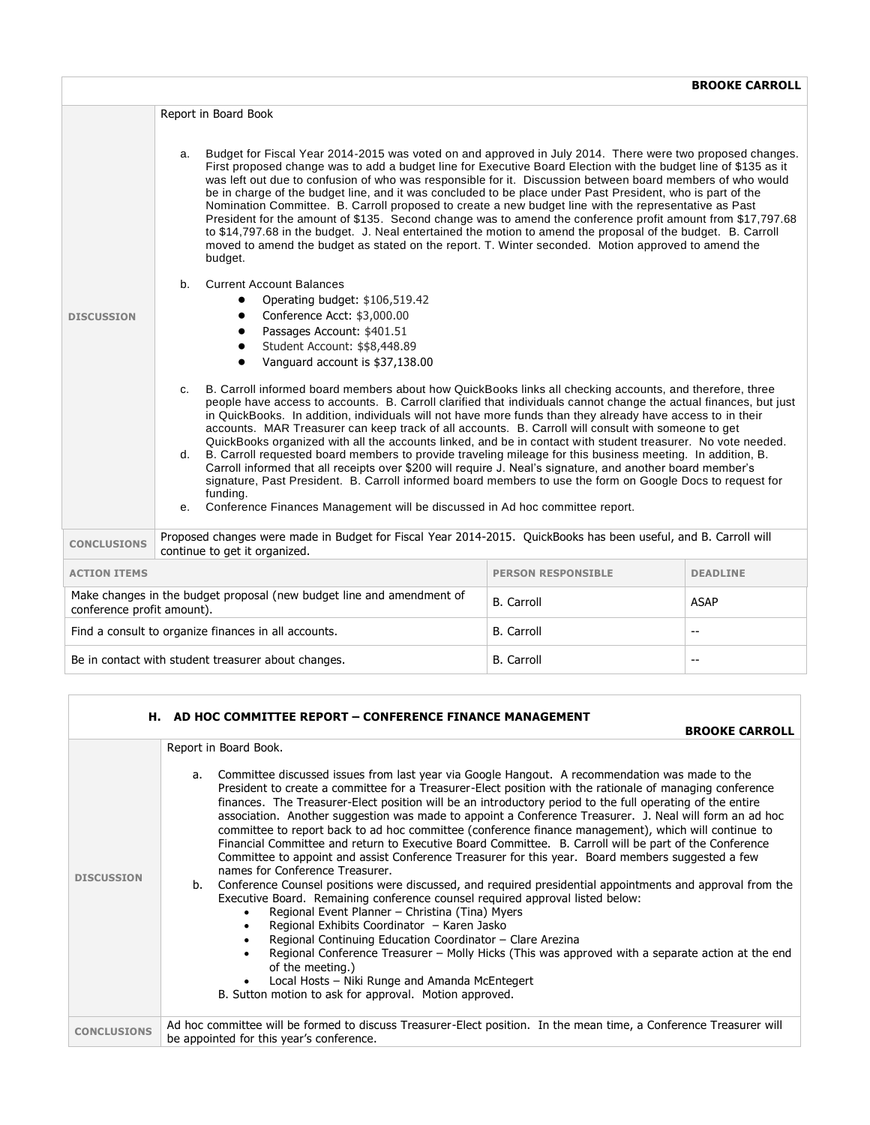|                                                                                 | Report in Board Book                                                                                                                                                                                                                                                                                                                                                                                                                                                                                                                                                                                                                                                                                                                                                                                                                                                                                                                                                                                                                     |                           |                 |  |
|---------------------------------------------------------------------------------|------------------------------------------------------------------------------------------------------------------------------------------------------------------------------------------------------------------------------------------------------------------------------------------------------------------------------------------------------------------------------------------------------------------------------------------------------------------------------------------------------------------------------------------------------------------------------------------------------------------------------------------------------------------------------------------------------------------------------------------------------------------------------------------------------------------------------------------------------------------------------------------------------------------------------------------------------------------------------------------------------------------------------------------|---------------------------|-----------------|--|
|                                                                                 | Budget for Fiscal Year 2014-2015 was voted on and approved in July 2014. There were two proposed changes.<br>a.<br>First proposed change was to add a budget line for Executive Board Election with the budget line of \$135 as it<br>was left out due to confusion of who was responsible for it. Discussion between board members of who would<br>be in charge of the budget line, and it was concluded to be place under Past President, who is part of the<br>Nomination Committee. B. Carroll proposed to create a new budget line with the representative as Past<br>President for the amount of \$135. Second change was to amend the conference profit amount from \$17,797.68<br>to \$14,797.68 in the budget. J. Neal entertained the motion to amend the proposal of the budget. B. Carroll<br>moved to amend the budget as stated on the report. T. Winter seconded. Motion approved to amend the<br>budget.                                                                                                                 |                           |                 |  |
|                                                                                 | <b>Current Account Balances</b><br>$h_{-}$                                                                                                                                                                                                                                                                                                                                                                                                                                                                                                                                                                                                                                                                                                                                                                                                                                                                                                                                                                                               |                           |                 |  |
|                                                                                 | Operating budget: \$106,519.42<br>Conference Acct: \$3,000.00                                                                                                                                                                                                                                                                                                                                                                                                                                                                                                                                                                                                                                                                                                                                                                                                                                                                                                                                                                            |                           |                 |  |
| <b>DISCUSSION</b>                                                               | Passages Account: \$401.51                                                                                                                                                                                                                                                                                                                                                                                                                                                                                                                                                                                                                                                                                                                                                                                                                                                                                                                                                                                                               |                           |                 |  |
|                                                                                 | Student Account: \$\$8,448.89                                                                                                                                                                                                                                                                                                                                                                                                                                                                                                                                                                                                                                                                                                                                                                                                                                                                                                                                                                                                            |                           |                 |  |
|                                                                                 | Vanguard account is \$37,138.00<br>$\bullet$                                                                                                                                                                                                                                                                                                                                                                                                                                                                                                                                                                                                                                                                                                                                                                                                                                                                                                                                                                                             |                           |                 |  |
|                                                                                 | B. Carroll informed board members about how QuickBooks links all checking accounts, and therefore, three<br>$C_{\cdot}$<br>people have access to accounts. B. Carroll clarified that individuals cannot change the actual finances, but just<br>in QuickBooks. In addition, individuals will not have more funds than they already have access to in their<br>accounts. MAR Treasurer can keep track of all accounts. B. Carroll will consult with someone to get<br>QuickBooks organized with all the accounts linked, and be in contact with student treasurer. No vote needed.<br>B. Carroll requested board members to provide traveling mileage for this business meeting. In addition, B.<br>d.<br>Carroll informed that all receipts over \$200 will require J. Neal's signature, and another board member's<br>signature, Past President. B. Carroll informed board members to use the form on Google Docs to request for<br>funding.<br>Conference Finances Management will be discussed in Ad hoc committee report.<br>$e_{1}$ |                           |                 |  |
| <b>CONCLUSIONS</b>                                                              | Proposed changes were made in Budget for Fiscal Year 2014-2015. QuickBooks has been useful, and B. Carroll will<br>continue to get it organized.                                                                                                                                                                                                                                                                                                                                                                                                                                                                                                                                                                                                                                                                                                                                                                                                                                                                                         |                           |                 |  |
| <b>ACTION ITEMS</b>                                                             |                                                                                                                                                                                                                                                                                                                                                                                                                                                                                                                                                                                                                                                                                                                                                                                                                                                                                                                                                                                                                                          | <b>PERSON RESPONSIBLE</b> | <b>DEADLINE</b> |  |
| conference profit amount).                                                      | Make changes in the budget proposal (new budget line and amendment of                                                                                                                                                                                                                                                                                                                                                                                                                                                                                                                                                                                                                                                                                                                                                                                                                                                                                                                                                                    | <b>B.</b> Carroll         | <b>ASAP</b>     |  |
|                                                                                 | Find a consult to organize finances in all accounts.                                                                                                                                                                                                                                                                                                                                                                                                                                                                                                                                                                                                                                                                                                                                                                                                                                                                                                                                                                                     | <b>B.</b> Carroll         | $-$             |  |
| Be in contact with student treasurer about changes.<br><b>B.</b> Carroll<br>$-$ |                                                                                                                                                                                                                                                                                                                                                                                                                                                                                                                                                                                                                                                                                                                                                                                                                                                                                                                                                                                                                                          |                           |                 |  |

|                    | <b>H. AD HOC COMMITTEE REPORT - CONFERENCE FINANCE MANAGEMENT</b>                                                                                                                                                                                                                                                                                                                                                                                                                                                                                                                                                                                                                                                                                                                                                                                                                                                                                                                                                                                                                                                                                                                                                                                                                                                                                                                                                |
|--------------------|------------------------------------------------------------------------------------------------------------------------------------------------------------------------------------------------------------------------------------------------------------------------------------------------------------------------------------------------------------------------------------------------------------------------------------------------------------------------------------------------------------------------------------------------------------------------------------------------------------------------------------------------------------------------------------------------------------------------------------------------------------------------------------------------------------------------------------------------------------------------------------------------------------------------------------------------------------------------------------------------------------------------------------------------------------------------------------------------------------------------------------------------------------------------------------------------------------------------------------------------------------------------------------------------------------------------------------------------------------------------------------------------------------------|
|                    | <b>BROOKE CARROLL</b>                                                                                                                                                                                                                                                                                                                                                                                                                                                                                                                                                                                                                                                                                                                                                                                                                                                                                                                                                                                                                                                                                                                                                                                                                                                                                                                                                                                            |
|                    | Report in Board Book.                                                                                                                                                                                                                                                                                                                                                                                                                                                                                                                                                                                                                                                                                                                                                                                                                                                                                                                                                                                                                                                                                                                                                                                                                                                                                                                                                                                            |
| <b>DISCUSSION</b>  | a. Committee discussed issues from last year via Google Hangout. A recommendation was made to the<br>President to create a committee for a Treasurer-Elect position with the rationale of managing conference<br>finances. The Treasurer-Elect position will be an introductory period to the full operating of the entire<br>association. Another suggestion was made to appoint a Conference Treasurer. J. Neal will form an ad hoc<br>committee to report back to ad hoc committee (conference finance management), which will continue to<br>Financial Committee and return to Executive Board Committee. B. Carroll will be part of the Conference<br>Committee to appoint and assist Conference Treasurer for this year. Board members suggested a few<br>names for Conference Treasurer.<br>b. Conference Counsel positions were discussed, and required presidential appointments and approval from the<br>Executive Board. Remaining conference counsel required approval listed below:<br>Regional Event Planner - Christina (Tina) Myers<br>$\bullet$<br>Regional Exhibits Coordinator - Karen Jasko<br>Regional Continuing Education Coordinator - Clare Arezina<br>Regional Conference Treasurer – Molly Hicks (This was approved with a separate action at the end<br>of the meeting.)<br>Local Hosts - Niki Runge and Amanda McEntegert<br>B. Sutton motion to ask for approval. Motion approved. |
| <b>CONCLUSIONS</b> | Ad hoc committee will be formed to discuss Treasurer-Elect position. In the mean time, a Conference Treasurer will<br>be appointed for this year's conference.                                                                                                                                                                                                                                                                                                                                                                                                                                                                                                                                                                                                                                                                                                                                                                                                                                                                                                                                                                                                                                                                                                                                                                                                                                                   |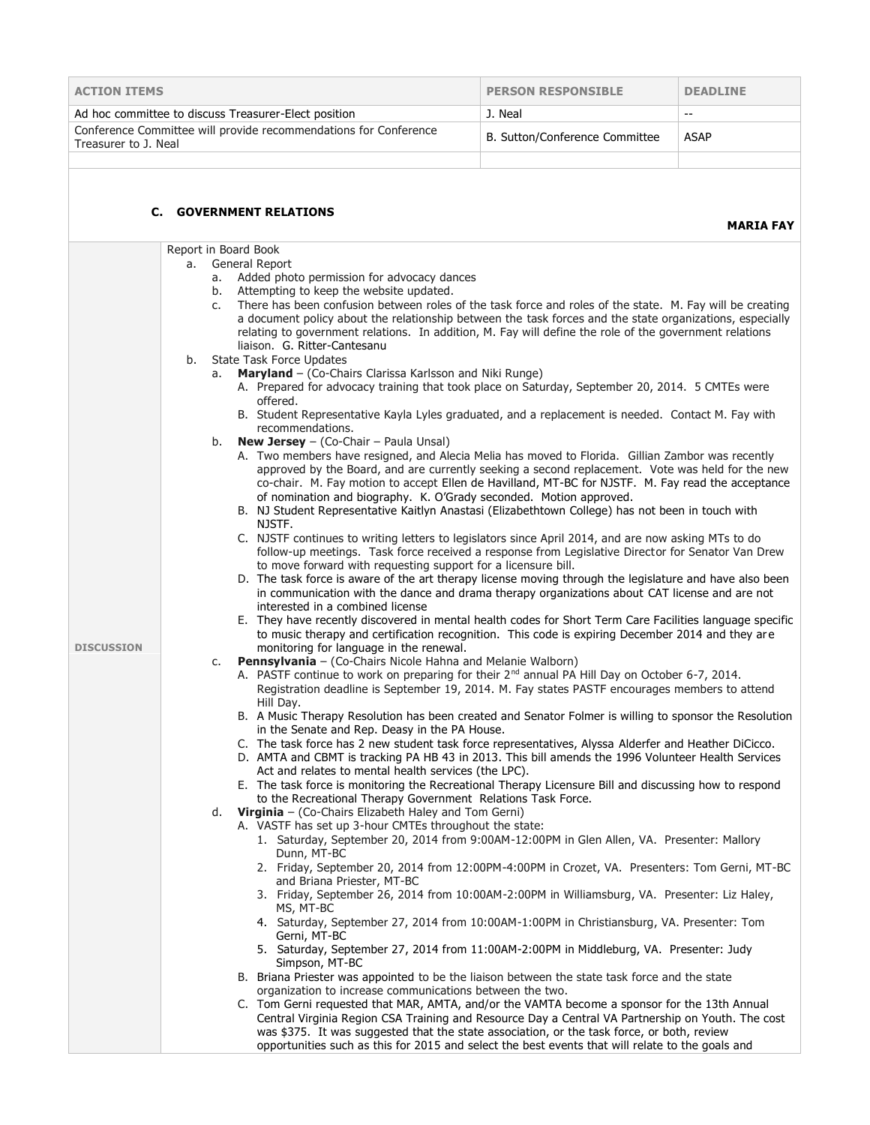| <b>ACTION ITEMS</b>                                                                      | <b>PERSON RESPONSIBLE</b>      | <b>DEADLINE</b> |
|------------------------------------------------------------------------------------------|--------------------------------|-----------------|
| Ad hoc committee to discuss Treasurer-Elect position                                     | J. Neal                        | $- -$           |
| Conference Committee will provide recommendations for Conference<br>Treasurer to J. Neal | B. Sutton/Conference Committee | ASAP            |
|                                                                                          |                                |                 |

## **C. GOVERNMENT RELATIONS**

**MARIA FAY**

|                   |    | Report in Board Book                                                                                                                                                                                                                                                        |
|-------------------|----|-----------------------------------------------------------------------------------------------------------------------------------------------------------------------------------------------------------------------------------------------------------------------------|
|                   | a. | General Report                                                                                                                                                                                                                                                              |
|                   |    | a. Added photo permission for advocacy dances<br>Attempting to keep the website updated.<br>b.                                                                                                                                                                              |
|                   |    | There has been confusion between roles of the task force and roles of the state. M. Fay will be creating<br>c.                                                                                                                                                              |
|                   |    | a document policy about the relationship between the task forces and the state organizations, especially                                                                                                                                                                    |
|                   |    | relating to government relations. In addition, M. Fay will define the role of the government relations                                                                                                                                                                      |
|                   |    | liaison. G. Ritter-Cantesanu                                                                                                                                                                                                                                                |
|                   | b. | <b>State Task Force Updates</b><br>Maryland - (Co-Chairs Clarissa Karlsson and Niki Runge)<br>a.                                                                                                                                                                            |
|                   |    | A. Prepared for advocacy training that took place on Saturday, September 20, 2014. 5 CMTEs were                                                                                                                                                                             |
|                   |    | offered.<br>B. Student Representative Kayla Lyles graduated, and a replacement is needed. Contact M. Fay with                                                                                                                                                               |
|                   |    | recommendations.<br><b>New Jersey</b> $-$ (Co-Chair $-$ Paula Unsal)                                                                                                                                                                                                        |
|                   |    | b.<br>A. Two members have resigned, and Alecia Melia has moved to Florida. Gillian Zambor was recently                                                                                                                                                                      |
|                   |    | approved by the Board, and are currently seeking a second replacement. Vote was held for the new<br>co-chair. M. Fay motion to accept Ellen de Havilland, MT-BC for NJSTF. M. Fay read the acceptance<br>of nomination and biography. K. O'Grady seconded. Motion approved. |
|                   |    | B. NJ Student Representative Kaitlyn Anastasi (Elizabethtown College) has not been in touch with                                                                                                                                                                            |
|                   |    | NJSTF.                                                                                                                                                                                                                                                                      |
|                   |    | C. NJSTF continues to writing letters to legislators since April 2014, and are now asking MTs to do<br>follow-up meetings. Task force received a response from Legislative Director for Senator Van Drew                                                                    |
|                   |    | to move forward with requesting support for a licensure bill.                                                                                                                                                                                                               |
|                   |    | D. The task force is aware of the art therapy license moving through the legislature and have also been                                                                                                                                                                     |
|                   |    | in communication with the dance and drama therapy organizations about CAT license and are not                                                                                                                                                                               |
|                   |    | interested in a combined license<br>E. They have recently discovered in mental health codes for Short Term Care Facilities language specific                                                                                                                                |
|                   |    | to music therapy and certification recognition. This code is expiring December 2014 and they are                                                                                                                                                                            |
| <b>DISCUSSION</b> |    | monitoring for language in the renewal.                                                                                                                                                                                                                                     |
|                   |    | Pennsylvania - (Co-Chairs Nicole Hahna and Melanie Walborn)<br>c.                                                                                                                                                                                                           |
|                   |    | A. PASTF continue to work on preparing for their 2 <sup>nd</sup> annual PA Hill Day on October 6-7, 2014.<br>Registration deadline is September 19, 2014. M. Fay states PASTF encourages members to attend                                                                  |
|                   |    | Hill Day.                                                                                                                                                                                                                                                                   |
|                   |    | B. A Music Therapy Resolution has been created and Senator Folmer is willing to sponsor the Resolution                                                                                                                                                                      |
|                   |    | in the Senate and Rep. Deasy in the PA House.                                                                                                                                                                                                                               |
|                   |    | C. The task force has 2 new student task force representatives, Alyssa Alderfer and Heather DiCicco.<br>D. AMTA and CBMT is tracking PA HB 43 in 2013. This bill amends the 1996 Volunteer Health Services                                                                  |
|                   |    | Act and relates to mental health services (the LPC).                                                                                                                                                                                                                        |
|                   |    | E. The task force is monitoring the Recreational Therapy Licensure Bill and discussing how to respond                                                                                                                                                                       |
|                   |    | to the Recreational Therapy Government Relations Task Force.                                                                                                                                                                                                                |
|                   |    | d. Virginia - (Co-Chairs Elizabeth Haley and Tom Gerni)                                                                                                                                                                                                                     |
|                   |    | A. VASTF has set up 3-hour CMTEs throughout the state:<br>1. Saturday, September 20, 2014 from 9:00AM-12:00PM in Glen Allen, VA. Presenter: Mallory                                                                                                                         |
|                   |    | Dunn, MT-BC                                                                                                                                                                                                                                                                 |
|                   |    | 2. Friday, September 20, 2014 from 12:00PM-4:00PM in Crozet, VA. Presenters: Tom Gerni, MT-BC<br>and Briana Priester, MT-BC                                                                                                                                                 |
|                   |    | 3. Friday, September 26, 2014 from 10:00AM-2:00PM in Williamsburg, VA. Presenter: Liz Haley,<br>MS, MT-BC                                                                                                                                                                   |
|                   |    | 4. Saturday, September 27, 2014 from 10:00AM-1:00PM in Christiansburg, VA. Presenter: Tom<br>Gerni, MT-BC                                                                                                                                                                   |
|                   |    | 5. Saturday, September 27, 2014 from 11:00AM-2:00PM in Middleburg, VA. Presenter: Judy<br>Simpson, MT-BC                                                                                                                                                                    |
|                   |    | B. Briana Priester was appointed to be the liaison between the state task force and the state                                                                                                                                                                               |
|                   |    | organization to increase communications between the two.                                                                                                                                                                                                                    |
|                   |    | C. Tom Gerni requested that MAR, AMTA, and/or the VAMTA become a sponsor for the 13th Annual                                                                                                                                                                                |
|                   |    | Central Virginia Region CSA Training and Resource Day a Central VA Partnership on Youth. The cost<br>was \$375. It was suggested that the state association, or the task force, or both, review                                                                             |
|                   |    | opportunities such as this for 2015 and select the best events that will relate to the goals and                                                                                                                                                                            |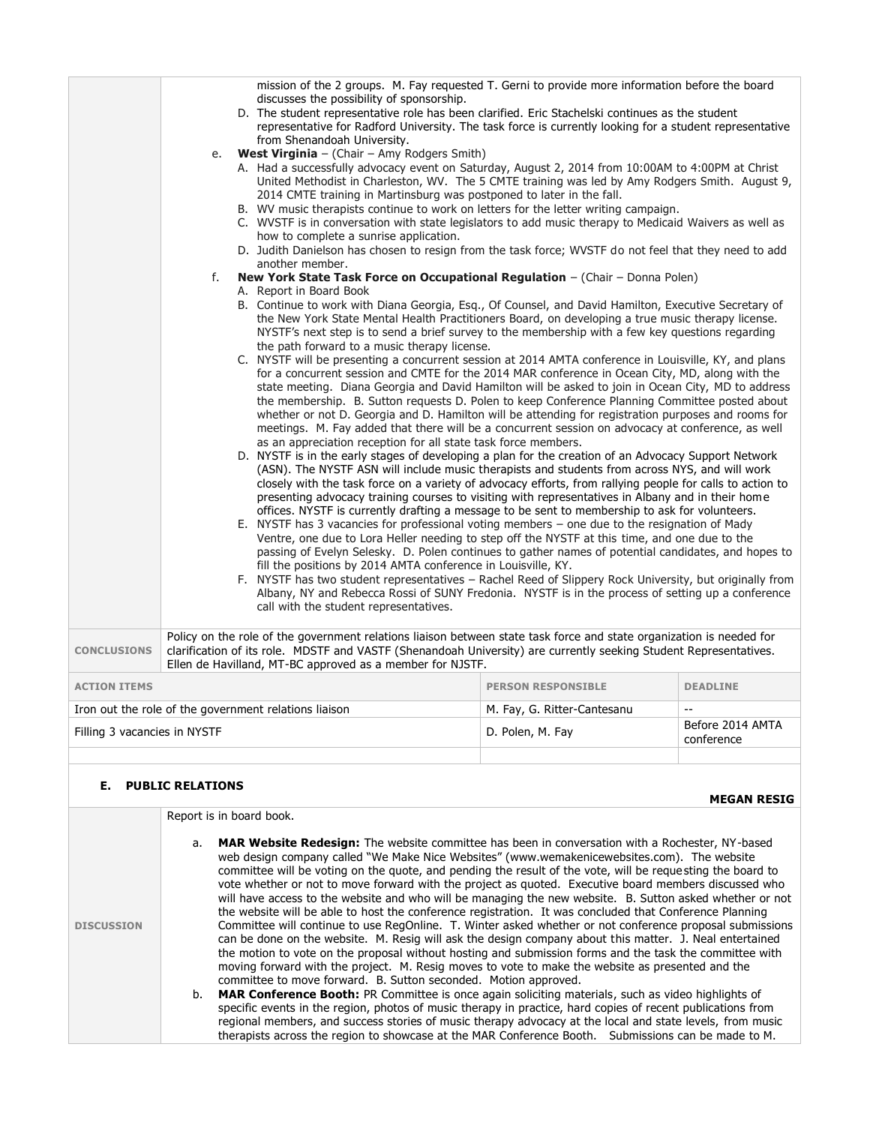|                              |    | mission of the 2 groups. M. Fay requested T. Gerni to provide more information before the board<br>discusses the possibility of sponsorship.                                                                                              |                             |                                              |
|------------------------------|----|-------------------------------------------------------------------------------------------------------------------------------------------------------------------------------------------------------------------------------------------|-----------------------------|----------------------------------------------|
|                              |    | D. The student representative role has been clarified. Eric Stachelski continues as the student                                                                                                                                           |                             |                                              |
|                              |    | representative for Radford University. The task force is currently looking for a student representative                                                                                                                                   |                             |                                              |
|                              |    | from Shenandoah University.                                                                                                                                                                                                               |                             |                                              |
|                              | e. | West Virginia $-$ (Chair $-$ Amy Rodgers Smith)<br>A. Had a successfully advocacy event on Saturday, August 2, 2014 from 10:00AM to 4:00PM at Christ                                                                                      |                             |                                              |
|                              |    | United Methodist in Charleston, WV. The 5 CMTE training was led by Amy Rodgers Smith. August 9,                                                                                                                                           |                             |                                              |
|                              |    | 2014 CMTE training in Martinsburg was postponed to later in the fall.                                                                                                                                                                     |                             |                                              |
|                              |    | B. WV music therapists continue to work on letters for the letter writing campaign.                                                                                                                                                       |                             |                                              |
|                              |    | C. WVSTF is in conversation with state legislators to add music therapy to Medicaid Waivers as well as                                                                                                                                    |                             |                                              |
|                              |    | how to complete a sunrise application.<br>D. Judith Danielson has chosen to resign from the task force; WVSTF do not feel that they need to add                                                                                           |                             |                                              |
|                              |    | another member.                                                                                                                                                                                                                           |                             |                                              |
|                              | f. | New York State Task Force on Occupational Regulation - (Chair - Donna Polen)                                                                                                                                                              |                             |                                              |
|                              |    | A. Report in Board Book<br>B. Continue to work with Diana Georgia, Esq., Of Counsel, and David Hamilton, Executive Secretary of                                                                                                           |                             |                                              |
|                              |    | the New York State Mental Health Practitioners Board, on developing a true music therapy license.                                                                                                                                         |                             |                                              |
|                              |    | NYSTF's next step is to send a brief survey to the membership with a few key questions regarding                                                                                                                                          |                             |                                              |
|                              |    | the path forward to a music therapy license.                                                                                                                                                                                              |                             |                                              |
|                              |    | C. NYSTF will be presenting a concurrent session at 2014 AMTA conference in Louisville, KY, and plans                                                                                                                                     |                             |                                              |
|                              |    | for a concurrent session and CMTE for the 2014 MAR conference in Ocean City, MD, along with the<br>state meeting. Diana Georgia and David Hamilton will be asked to join in Ocean City, MD to address                                     |                             |                                              |
|                              |    | the membership. B. Sutton requests D. Polen to keep Conference Planning Committee posted about                                                                                                                                            |                             |                                              |
|                              |    | whether or not D. Georgia and D. Hamilton will be attending for registration purposes and rooms for                                                                                                                                       |                             |                                              |
|                              |    | meetings. M. Fay added that there will be a concurrent session on advocacy at conference, as well                                                                                                                                         |                             |                                              |
|                              |    | as an appreciation reception for all state task force members.                                                                                                                                                                            |                             |                                              |
|                              |    | D. NYSTF is in the early stages of developing a plan for the creation of an Advocacy Support Network<br>(ASN). The NYSTF ASN will include music therapists and students from across NYS, and will work                                    |                             |                                              |
|                              |    | closely with the task force on a variety of advocacy efforts, from rallying people for calls to action to                                                                                                                                 |                             |                                              |
|                              |    | presenting advocacy training courses to visiting with representatives in Albany and in their home                                                                                                                                         |                             |                                              |
|                              |    | offices. NYSTF is currently drafting a message to be sent to membership to ask for volunteers.                                                                                                                                            |                             |                                              |
|                              |    | E. NYSTF has 3 vacancies for professional voting members - one due to the resignation of Mady                                                                                                                                             |                             |                                              |
|                              |    | Ventre, one due to Lora Heller needing to step off the NYSTF at this time, and one due to the                                                                                                                                             |                             |                                              |
|                              |    | passing of Evelyn Selesky. D. Polen continues to gather names of potential candidates, and hopes to<br>fill the positions by 2014 AMTA conference in Louisville, KY.                                                                      |                             |                                              |
|                              |    | F. NYSTF has two student representatives - Rachel Reed of Slippery Rock University, but originally from                                                                                                                                   |                             |                                              |
|                              |    | Albany, NY and Rebecca Rossi of SUNY Fredonia. NYSTF is in the process of setting up a conference                                                                                                                                         |                             |                                              |
|                              |    | call with the student representatives.                                                                                                                                                                                                    |                             |                                              |
|                              |    |                                                                                                                                                                                                                                           |                             |                                              |
| <b>CONCLUSIONS</b>           |    | Policy on the role of the government relations liaison between state task force and state organization is needed for<br>clarification of its role. MDSTF and VASTF (Shenandoah University) are currently seeking Student Representatives. |                             |                                              |
|                              |    | Ellen de Havilland, MT-BC approved as a member for NJSTF.                                                                                                                                                                                 |                             |                                              |
|                              |    |                                                                                                                                                                                                                                           |                             |                                              |
| <b>ACTION ITEMS</b>          |    |                                                                                                                                                                                                                                           | <b>PERSON RESPONSIBLE</b>   | <b>DEADLINE</b><br>$\mathbb{Z}^{\mathbb{Z}}$ |
|                              |    | Iron out the role of the government relations liaison                                                                                                                                                                                     | M. Fay, G. Ritter-Cantesanu | Before 2014 AMTA                             |
| Filling 3 vacancies in NYSTF |    |                                                                                                                                                                                                                                           | D. Polen, M. Fay            | conference                                   |
|                              |    |                                                                                                                                                                                                                                           |                             |                                              |

## **E. PUBLIC RELATIONS**

|                   | Report is in board book.                                                                                                                                                                                                                                                                                                                                                                                                                                                                                                                                                                                                                                                                                                                                                                                                                                                                                                                                                                                                                                                                                                                                                                                                                                                                                                                                                                                                                                                                                                                                                                                              |  |  |
|-------------------|-----------------------------------------------------------------------------------------------------------------------------------------------------------------------------------------------------------------------------------------------------------------------------------------------------------------------------------------------------------------------------------------------------------------------------------------------------------------------------------------------------------------------------------------------------------------------------------------------------------------------------------------------------------------------------------------------------------------------------------------------------------------------------------------------------------------------------------------------------------------------------------------------------------------------------------------------------------------------------------------------------------------------------------------------------------------------------------------------------------------------------------------------------------------------------------------------------------------------------------------------------------------------------------------------------------------------------------------------------------------------------------------------------------------------------------------------------------------------------------------------------------------------------------------------------------------------------------------------------------------------|--|--|
| <b>DISCUSSION</b> | a. <b>MAR Website Redesign:</b> The website committee has been in conversation with a Rochester, NY-based<br>web design company called "We Make Nice Websites" (www.wemakenicewebsites.com). The website<br>committee will be voting on the guote, and pending the result of the vote, will be requesting the board to<br>vote whether or not to move forward with the project as quoted. Executive board members discussed who<br>will have access to the website and who will be managing the new website. B. Sutton asked whether or not<br>the website will be able to host the conference registration. It was concluded that Conference Planning<br>Committee will continue to use RegOnline. T. Winter asked whether or not conference proposal submissions<br>can be done on the website. M. Resig will ask the design company about this matter. J. Neal entertained<br>the motion to vote on the proposal without hosting and submission forms and the task the committee with<br>moving forward with the project. M. Resig moves to vote to make the website as presented and the<br>committee to move forward. B. Sutton seconded. Motion approved.<br><b>MAR Conference Booth:</b> PR Committee is once again soliciting materials, such as video highlights of<br>b.<br>specific events in the region, photos of music therapy in practice, hard copies of recent publications from<br>regional members, and success stories of music therapy advocacy at the local and state levels, from music<br>therapists across the region to showcase at the MAR Conference Booth. Submissions can be made to M. |  |  |

**MEGAN RESIG**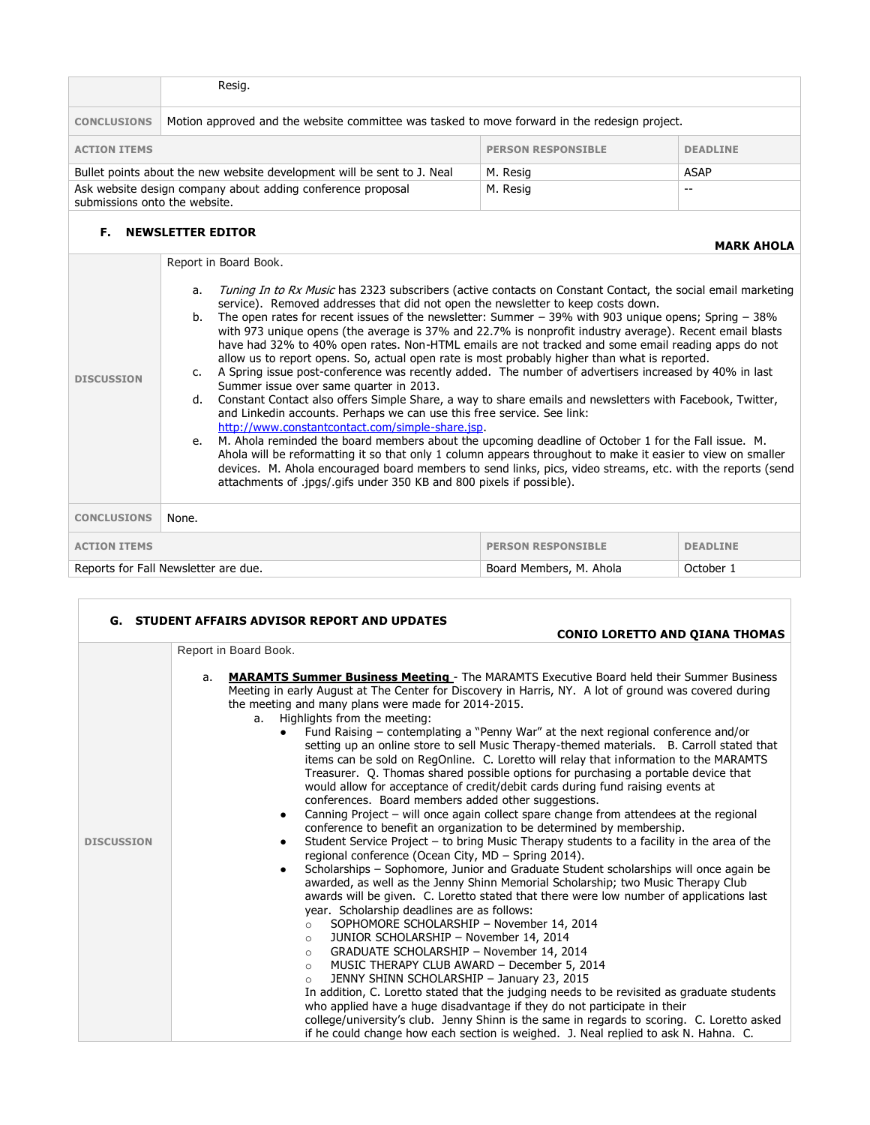|                               | Resig.                                                                                                                                                                                                                                                                                                                                                                                                                                                                                                                                                                                                                                                                                                                                                                                                                                                                                                                                                                                                                                                                                                                                                                                                                                                                                                                                                                                                                                                                                   |                           |                   |
|-------------------------------|------------------------------------------------------------------------------------------------------------------------------------------------------------------------------------------------------------------------------------------------------------------------------------------------------------------------------------------------------------------------------------------------------------------------------------------------------------------------------------------------------------------------------------------------------------------------------------------------------------------------------------------------------------------------------------------------------------------------------------------------------------------------------------------------------------------------------------------------------------------------------------------------------------------------------------------------------------------------------------------------------------------------------------------------------------------------------------------------------------------------------------------------------------------------------------------------------------------------------------------------------------------------------------------------------------------------------------------------------------------------------------------------------------------------------------------------------------------------------------------|---------------------------|-------------------|
| <b>CONCLUSIONS</b>            | Motion approved and the website committee was tasked to move forward in the redesign project.                                                                                                                                                                                                                                                                                                                                                                                                                                                                                                                                                                                                                                                                                                                                                                                                                                                                                                                                                                                                                                                                                                                                                                                                                                                                                                                                                                                            |                           |                   |
| <b>ACTION ITEMS</b>           |                                                                                                                                                                                                                                                                                                                                                                                                                                                                                                                                                                                                                                                                                                                                                                                                                                                                                                                                                                                                                                                                                                                                                                                                                                                                                                                                                                                                                                                                                          | <b>PERSON RESPONSIBLE</b> | <b>DEADLINE</b>   |
|                               | Bullet points about the new website development will be sent to J. Neal                                                                                                                                                                                                                                                                                                                                                                                                                                                                                                                                                                                                                                                                                                                                                                                                                                                                                                                                                                                                                                                                                                                                                                                                                                                                                                                                                                                                                  | M. Resig                  | <b>ASAP</b>       |
| submissions onto the website. | Ask website design company about adding conference proposal                                                                                                                                                                                                                                                                                                                                                                                                                                                                                                                                                                                                                                                                                                                                                                                                                                                                                                                                                                                                                                                                                                                                                                                                                                                                                                                                                                                                                              | M. Resig                  | $-$               |
|                               | <b>F. NEWSLETTER EDITOR</b>                                                                                                                                                                                                                                                                                                                                                                                                                                                                                                                                                                                                                                                                                                                                                                                                                                                                                                                                                                                                                                                                                                                                                                                                                                                                                                                                                                                                                                                              |                           | <b>MARK AHOLA</b> |
| <b>DISCUSSION</b>             | Report in Board Book.<br>Tuning In to Rx Music has 2323 subscribers (active contacts on Constant Contact, the social email marketing<br>a.<br>service). Removed addresses that did not open the newsletter to keep costs down.<br>The open rates for recent issues of the newsletter: Summer $-$ 39% with 903 unique opens; Spring $-$ 38%<br>b.<br>with 973 unique opens (the average is 37% and 22.7% is nonprofit industry average). Recent email blasts<br>have had 32% to 40% open rates. Non-HTML emails are not tracked and some email reading apps do not<br>allow us to report opens. So, actual open rate is most probably higher than what is reported.<br>c. A Spring issue post-conference was recently added. The number of advertisers increased by 40% in last<br>Summer issue over same quarter in 2013.<br>d. Constant Contact also offers Simple Share, a way to share emails and newsletters with Facebook, Twitter,<br>and Linkedin accounts. Perhaps we can use this free service. See link:<br>http://www.constantcontact.com/simple-share.jsp.<br>M. Ahola reminded the board members about the upcoming deadline of October 1 for the Fall issue. M.<br>e.<br>Ahola will be reformatting it so that only 1 column appears throughout to make it easier to view on smaller<br>devices. M. Ahola encouraged board members to send links, pics, video streams, etc. with the reports (send<br>attachments of .jpgs/.gifs under 350 KB and 800 pixels if possible). |                           |                   |
| <b>CONCLUSIONS</b>            | None.                                                                                                                                                                                                                                                                                                                                                                                                                                                                                                                                                                                                                                                                                                                                                                                                                                                                                                                                                                                                                                                                                                                                                                                                                                                                                                                                                                                                                                                                                    |                           |                   |
| <b>ACTION ITEMS</b>           |                                                                                                                                                                                                                                                                                                                                                                                                                                                                                                                                                                                                                                                                                                                                                                                                                                                                                                                                                                                                                                                                                                                                                                                                                                                                                                                                                                                                                                                                                          | <b>PERSON RESPONSIBLE</b> | <b>DEADLINE</b>   |
|                               | Reports for Fall Newsletter are due.                                                                                                                                                                                                                                                                                                                                                                                                                                                                                                                                                                                                                                                                                                                                                                                                                                                                                                                                                                                                                                                                                                                                                                                                                                                                                                                                                                                                                                                     | Board Members, M. Ahola   | October 1         |

|                   | <b>G. STUDENT AFFAIRS ADVISOR REPORT AND UPDATES</b>                                                                                                                                                                                                                                                                                                                                                                                                                                                                                                                                                                                                                                                                                                                                                                                                                                                                                              |  |  |
|-------------------|---------------------------------------------------------------------------------------------------------------------------------------------------------------------------------------------------------------------------------------------------------------------------------------------------------------------------------------------------------------------------------------------------------------------------------------------------------------------------------------------------------------------------------------------------------------------------------------------------------------------------------------------------------------------------------------------------------------------------------------------------------------------------------------------------------------------------------------------------------------------------------------------------------------------------------------------------|--|--|
|                   | <b>CONIO LORETTO AND QIANA THOMAS</b>                                                                                                                                                                                                                                                                                                                                                                                                                                                                                                                                                                                                                                                                                                                                                                                                                                                                                                             |  |  |
|                   | Report in Board Book.<br><b>MARAMTS Summer Business Meeting</b> - The MARAMTS Executive Board held their Summer Business<br>a.<br>Meeting in early August at The Center for Discovery in Harris, NY. A lot of ground was covered during<br>the meeting and many plans were made for 2014-2015.<br>a. Highlights from the meeting:<br>Fund Raising – contemplating a "Penny War" at the next regional conference and/or<br>setting up an online store to sell Music Therapy-themed materials. B. Carroll stated that<br>items can be sold on RegOnline. C. Loretto will relay that information to the MARAMTS<br>Treasurer. Q. Thomas shared possible options for purchasing a portable device that<br>would allow for acceptance of credit/debit cards during fund raising events at<br>conferences. Board members added other suggestions.<br>Canning Project - will once again collect spare change from attendees at the regional<br>$\bullet$ |  |  |
| <b>DISCUSSION</b> | conference to benefit an organization to be determined by membership.<br>Student Service Project - to bring Music Therapy students to a facility in the area of the<br>regional conference (Ocean City, MD - Spring 2014).<br>Scholarships - Sophomore, Junior and Graduate Student scholarships will once again be<br>awarded, as well as the Jenny Shinn Memorial Scholarship; two Music Therapy Club<br>awards will be given. C. Loretto stated that there were low number of applications last<br>year. Scholarship deadlines are as follows:<br>SOPHOMORE SCHOLARSHIP - November 14, 2014<br>$\circ$<br>JUNIOR SCHOLARSHIP - November 14, 2014<br>$\circ$<br>GRADUATE SCHOLARSHIP - November 14, 2014<br>$\circ$<br>MUSIC THERAPY CLUB AWARD - December 5, 2014<br>$\circ$<br>JENNY SHINN SCHOLARSHIP - January 23, 2015<br>$\circ$<br>In addition, C. Loretto stated that the judging needs to be revisited as graduate students            |  |  |

٦

 $\Gamma$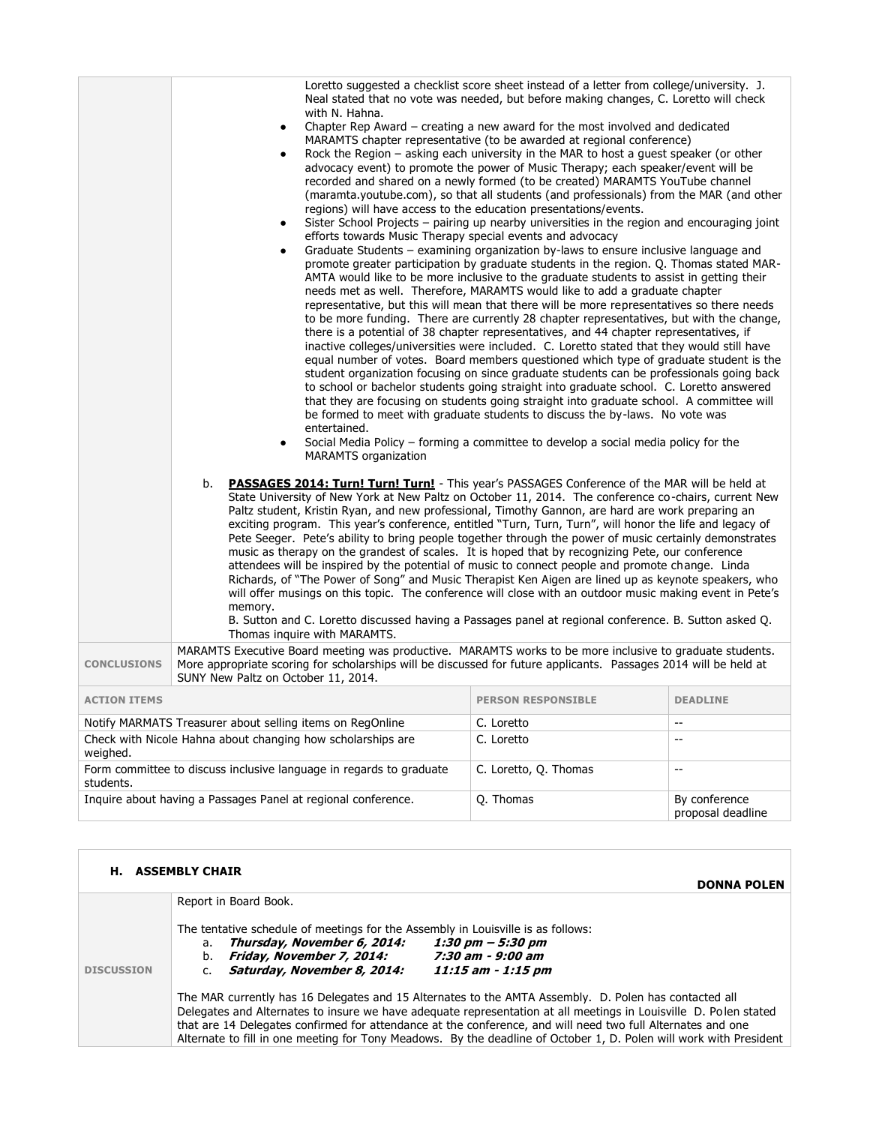|                     | with N. Hahna.<br>$\bullet$<br>$\bullet$<br>$\bullet$<br>efforts towards Music Therapy special events and advocacy<br>entertained.<br>$\bullet$<br><b>MARAMTS</b> organization<br><b>PASSAGES 2014: Turn! Turn! Turn!</b> - This year's PASSAGES Conference of the MAR will be held at<br>b.<br>State University of New York at New Paltz on October 11, 2014. The conference co-chairs, current New<br>Paltz student, Kristin Ryan, and new professional, Timothy Gannon, are hard are work preparing an<br>exciting program. This year's conference, entitled "Turn, Turn, Turn", will honor the life and legacy of | Loretto suggested a checklist score sheet instead of a letter from college/university. J.<br>Neal stated that no vote was needed, but before making changes, C. Loretto will check<br>Chapter Rep Award $-$ creating a new award for the most involved and dedicated<br>MARAMTS chapter representative (to be awarded at regional conference)<br>Rock the Region - asking each university in the MAR to host a guest speaker (or other<br>advocacy event) to promote the power of Music Therapy; each speaker/event will be<br>recorded and shared on a newly formed (to be created) MARAMTS YouTube channel<br>(maramta.youtube.com), so that all students (and professionals) from the MAR (and other<br>regions) will have access to the education presentations/events.<br>Sister School Projects - pairing up nearby universities in the region and encouraging joint<br>Graduate Students – examining organization by-laws to ensure inclusive language and<br>promote greater participation by graduate students in the region. Q. Thomas stated MAR-<br>AMTA would like to be more inclusive to the graduate students to assist in getting their<br>needs met as well. Therefore, MARAMTS would like to add a graduate chapter<br>representative, but this will mean that there will be more representatives so there needs<br>to be more funding. There are currently 28 chapter representatives, but with the change,<br>there is a potential of 38 chapter representatives, and 44 chapter representatives, if<br>inactive colleges/universities were included. C. Loretto stated that they would still have<br>equal number of votes. Board members questioned which type of graduate student is the<br>student organization focusing on since graduate students can be professionals going back<br>to school or bachelor students going straight into graduate school. C. Loretto answered<br>that they are focusing on students going straight into graduate school. A committee will<br>be formed to meet with graduate students to discuss the by-laws. No vote was<br>Social Media Policy - forming a committee to develop a social media policy for the |                                               |
|---------------------|-----------------------------------------------------------------------------------------------------------------------------------------------------------------------------------------------------------------------------------------------------------------------------------------------------------------------------------------------------------------------------------------------------------------------------------------------------------------------------------------------------------------------------------------------------------------------------------------------------------------------|---------------------------------------------------------------------------------------------------------------------------------------------------------------------------------------------------------------------------------------------------------------------------------------------------------------------------------------------------------------------------------------------------------------------------------------------------------------------------------------------------------------------------------------------------------------------------------------------------------------------------------------------------------------------------------------------------------------------------------------------------------------------------------------------------------------------------------------------------------------------------------------------------------------------------------------------------------------------------------------------------------------------------------------------------------------------------------------------------------------------------------------------------------------------------------------------------------------------------------------------------------------------------------------------------------------------------------------------------------------------------------------------------------------------------------------------------------------------------------------------------------------------------------------------------------------------------------------------------------------------------------------------------------------------------------------------------------------------------------------------------------------------------------------------------------------------------------------------------------------------------------------------------------------------------------------------------------------------------------------------------------------------------------------------------------------------------------------------------------------------------------------------------------------------------|-----------------------------------------------|
|                     | Pete Seeger. Pete's ability to bring people together through the power of music certainly demonstrates<br>music as therapy on the grandest of scales. It is hoped that by recognizing Pete, our conference<br>attendees will be inspired by the potential of music to connect people and promote change. Linda<br>Richards, of "The Power of Song" and Music Therapist Ken Aigen are lined up as keynote speakers, who<br>will offer musings on this topic. The conference will close with an outdoor music making event in Pete's                                                                                    |                                                                                                                                                                                                                                                                                                                                                                                                                                                                                                                                                                                                                                                                                                                                                                                                                                                                                                                                                                                                                                                                                                                                                                                                                                                                                                                                                                                                                                                                                                                                                                                                                                                                                                                                                                                                                                                                                                                                                                                                                                                                                                                                                                           |                                               |
|                     | memory.<br>B. Sutton and C. Loretto discussed having a Passages panel at regional conference. B. Sutton asked Q.<br>Thomas inquire with MARAMTS.                                                                                                                                                                                                                                                                                                                                                                                                                                                                      |                                                                                                                                                                                                                                                                                                                                                                                                                                                                                                                                                                                                                                                                                                                                                                                                                                                                                                                                                                                                                                                                                                                                                                                                                                                                                                                                                                                                                                                                                                                                                                                                                                                                                                                                                                                                                                                                                                                                                                                                                                                                                                                                                                           |                                               |
| <b>CONCLUSIONS</b>  | MARAMTS Executive Board meeting was productive. MARAMTS works to be more inclusive to graduate students.<br>More appropriate scoring for scholarships will be discussed for future applicants. Passages 2014 will be held at<br>SUNY New Paltz on October 11, 2014.                                                                                                                                                                                                                                                                                                                                                   |                                                                                                                                                                                                                                                                                                                                                                                                                                                                                                                                                                                                                                                                                                                                                                                                                                                                                                                                                                                                                                                                                                                                                                                                                                                                                                                                                                                                                                                                                                                                                                                                                                                                                                                                                                                                                                                                                                                                                                                                                                                                                                                                                                           |                                               |
| <b>ACTION ITEMS</b> |                                                                                                                                                                                                                                                                                                                                                                                                                                                                                                                                                                                                                       | <b>PERSON RESPONSIBLE</b>                                                                                                                                                                                                                                                                                                                                                                                                                                                                                                                                                                                                                                                                                                                                                                                                                                                                                                                                                                                                                                                                                                                                                                                                                                                                                                                                                                                                                                                                                                                                                                                                                                                                                                                                                                                                                                                                                                                                                                                                                                                                                                                                                 | <b>DEADLINE</b>                               |
|                     | Notify MARMATS Treasurer about selling items on RegOnline                                                                                                                                                                                                                                                                                                                                                                                                                                                                                                                                                             | C. Loretto                                                                                                                                                                                                                                                                                                                                                                                                                                                                                                                                                                                                                                                                                                                                                                                                                                                                                                                                                                                                                                                                                                                                                                                                                                                                                                                                                                                                                                                                                                                                                                                                                                                                                                                                                                                                                                                                                                                                                                                                                                                                                                                                                                | $\overline{\phantom{a}}$                      |
| weighed.            | Check with Nicole Hahna about changing how scholarships are                                                                                                                                                                                                                                                                                                                                                                                                                                                                                                                                                           | C. Loretto                                                                                                                                                                                                                                                                                                                                                                                                                                                                                                                                                                                                                                                                                                                                                                                                                                                                                                                                                                                                                                                                                                                                                                                                                                                                                                                                                                                                                                                                                                                                                                                                                                                                                                                                                                                                                                                                                                                                                                                                                                                                                                                                                                | $-$                                           |
| students.           | Form committee to discuss inclusive language in regards to graduate                                                                                                                                                                                                                                                                                                                                                                                                                                                                                                                                                   | C. Loretto, Q. Thomas                                                                                                                                                                                                                                                                                                                                                                                                                                                                                                                                                                                                                                                                                                                                                                                                                                                                                                                                                                                                                                                                                                                                                                                                                                                                                                                                                                                                                                                                                                                                                                                                                                                                                                                                                                                                                                                                                                                                                                                                                                                                                                                                                     | $\mathord{\hspace{1pt}\text{--}\hspace{1pt}}$ |
|                     | Inquire about having a Passages Panel at regional conference.                                                                                                                                                                                                                                                                                                                                                                                                                                                                                                                                                         | Q. Thomas                                                                                                                                                                                                                                                                                                                                                                                                                                                                                                                                                                                                                                                                                                                                                                                                                                                                                                                                                                                                                                                                                                                                                                                                                                                                                                                                                                                                                                                                                                                                                                                                                                                                                                                                                                                                                                                                                                                                                                                                                                                                                                                                                                 | By conference<br>proposal deadline            |

|                   | <b>H. ASSEMBLY CHAIR</b><br><b>DONNA POLEN</b>                                                                                                                                                                                                                                                                                                                                                                                                                 |
|-------------------|----------------------------------------------------------------------------------------------------------------------------------------------------------------------------------------------------------------------------------------------------------------------------------------------------------------------------------------------------------------------------------------------------------------------------------------------------------------|
| <b>DISCUSSION</b> | Report in Board Book.<br>The tentative schedule of meetings for the Assembly in Louisville is as follows:<br>a. Thursday, November 6, 2014:<br>1:30 pm $-$ 5:30 pm<br>Friday, November 7, 2014:<br>7:30 am - 9:00 am<br>b.<br>Saturday, November 8, 2014:<br>11:15 am - 1:15 pm                                                                                                                                                                                |
|                   | The MAR currently has 16 Delegates and 15 Alternates to the AMTA Assembly. D. Polen has contacted all<br>Delegates and Alternates to insure we have adequate representation at all meetings in Louisville D. Polen stated<br>that are 14 Delegates confirmed for attendance at the conference, and will need two full Alternates and one<br>Alternate to fill in one meeting for Tony Meadows. By the deadline of October 1, D. Polen will work with President |

L,

product the contract of the con-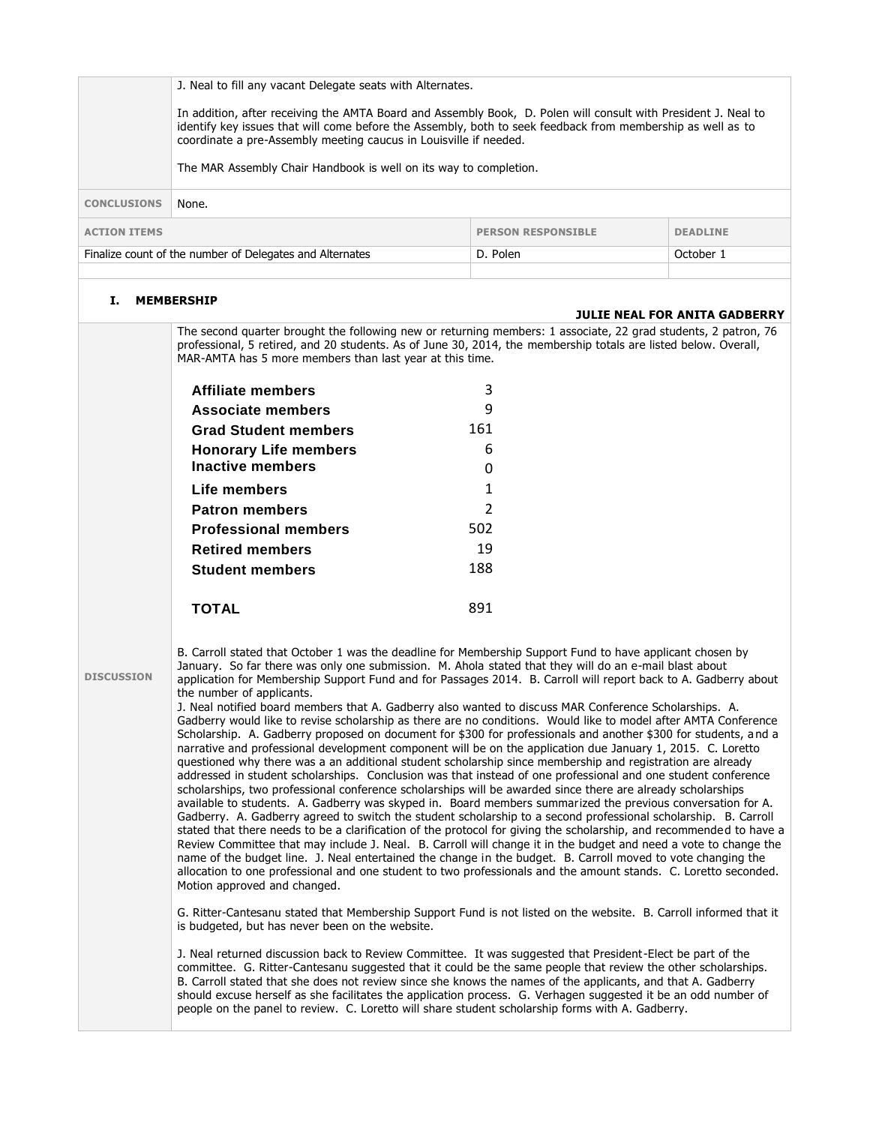|                     | J. Neal to fill any vacant Delegate seats with Alternates.                                                                                                                                                                                                                                                                                                                                                                                                                                                                                                                                                                                                                                                                                                                                                                                                                                                                                                                                                                                                                                                                                                                                                                                                                                                                                                                                                                                                                                                                                                                                                                                                                                                                                                                                                                                                                                                                                                                                                                                            |                           |                                      |
|---------------------|-------------------------------------------------------------------------------------------------------------------------------------------------------------------------------------------------------------------------------------------------------------------------------------------------------------------------------------------------------------------------------------------------------------------------------------------------------------------------------------------------------------------------------------------------------------------------------------------------------------------------------------------------------------------------------------------------------------------------------------------------------------------------------------------------------------------------------------------------------------------------------------------------------------------------------------------------------------------------------------------------------------------------------------------------------------------------------------------------------------------------------------------------------------------------------------------------------------------------------------------------------------------------------------------------------------------------------------------------------------------------------------------------------------------------------------------------------------------------------------------------------------------------------------------------------------------------------------------------------------------------------------------------------------------------------------------------------------------------------------------------------------------------------------------------------------------------------------------------------------------------------------------------------------------------------------------------------------------------------------------------------------------------------------------------------|---------------------------|--------------------------------------|
|                     | In addition, after receiving the AMTA Board and Assembly Book, D. Polen will consult with President J. Neal to<br>identify key issues that will come before the Assembly, both to seek feedback from membership as well as to<br>coordinate a pre-Assembly meeting caucus in Louisville if needed.                                                                                                                                                                                                                                                                                                                                                                                                                                                                                                                                                                                                                                                                                                                                                                                                                                                                                                                                                                                                                                                                                                                                                                                                                                                                                                                                                                                                                                                                                                                                                                                                                                                                                                                                                    |                           |                                      |
|                     | The MAR Assembly Chair Handbook is well on its way to completion.                                                                                                                                                                                                                                                                                                                                                                                                                                                                                                                                                                                                                                                                                                                                                                                                                                                                                                                                                                                                                                                                                                                                                                                                                                                                                                                                                                                                                                                                                                                                                                                                                                                                                                                                                                                                                                                                                                                                                                                     |                           |                                      |
| <b>CONCLUSIONS</b>  | None.                                                                                                                                                                                                                                                                                                                                                                                                                                                                                                                                                                                                                                                                                                                                                                                                                                                                                                                                                                                                                                                                                                                                                                                                                                                                                                                                                                                                                                                                                                                                                                                                                                                                                                                                                                                                                                                                                                                                                                                                                                                 |                           |                                      |
| <b>ACTION ITEMS</b> |                                                                                                                                                                                                                                                                                                                                                                                                                                                                                                                                                                                                                                                                                                                                                                                                                                                                                                                                                                                                                                                                                                                                                                                                                                                                                                                                                                                                                                                                                                                                                                                                                                                                                                                                                                                                                                                                                                                                                                                                                                                       | <b>PERSON RESPONSIBLE</b> | <b>DEADLINE</b>                      |
|                     | Finalize count of the number of Delegates and Alternates                                                                                                                                                                                                                                                                                                                                                                                                                                                                                                                                                                                                                                                                                                                                                                                                                                                                                                                                                                                                                                                                                                                                                                                                                                                                                                                                                                                                                                                                                                                                                                                                                                                                                                                                                                                                                                                                                                                                                                                              | D. Polen                  | October 1                            |
| Ι.                  | <b>MEMBERSHIP</b>                                                                                                                                                                                                                                                                                                                                                                                                                                                                                                                                                                                                                                                                                                                                                                                                                                                                                                                                                                                                                                                                                                                                                                                                                                                                                                                                                                                                                                                                                                                                                                                                                                                                                                                                                                                                                                                                                                                                                                                                                                     |                           | <b>JULIE NEAL FOR ANITA GADBERRY</b> |
|                     | The second quarter brought the following new or returning members: 1 associate, 22 grad students, 2 patron, 76<br>professional, 5 retired, and 20 students. As of June 30, 2014, the membership totals are listed below. Overall,<br>MAR-AMTA has 5 more members than last year at this time.                                                                                                                                                                                                                                                                                                                                                                                                                                                                                                                                                                                                                                                                                                                                                                                                                                                                                                                                                                                                                                                                                                                                                                                                                                                                                                                                                                                                                                                                                                                                                                                                                                                                                                                                                         |                           |                                      |
|                     | Affiliate members                                                                                                                                                                                                                                                                                                                                                                                                                                                                                                                                                                                                                                                                                                                                                                                                                                                                                                                                                                                                                                                                                                                                                                                                                                                                                                                                                                                                                                                                                                                                                                                                                                                                                                                                                                                                                                                                                                                                                                                                                                     | 3                         |                                      |
|                     | <b>Associate members</b>                                                                                                                                                                                                                                                                                                                                                                                                                                                                                                                                                                                                                                                                                                                                                                                                                                                                                                                                                                                                                                                                                                                                                                                                                                                                                                                                                                                                                                                                                                                                                                                                                                                                                                                                                                                                                                                                                                                                                                                                                              | 9                         |                                      |
|                     | <b>Grad Student members</b>                                                                                                                                                                                                                                                                                                                                                                                                                                                                                                                                                                                                                                                                                                                                                                                                                                                                                                                                                                                                                                                                                                                                                                                                                                                                                                                                                                                                                                                                                                                                                                                                                                                                                                                                                                                                                                                                                                                                                                                                                           | 161                       |                                      |
|                     | <b>Honorary Life members</b><br><b>Inactive members</b>                                                                                                                                                                                                                                                                                                                                                                                                                                                                                                                                                                                                                                                                                                                                                                                                                                                                                                                                                                                                                                                                                                                                                                                                                                                                                                                                                                                                                                                                                                                                                                                                                                                                                                                                                                                                                                                                                                                                                                                               | 6                         |                                      |
|                     | Life members                                                                                                                                                                                                                                                                                                                                                                                                                                                                                                                                                                                                                                                                                                                                                                                                                                                                                                                                                                                                                                                                                                                                                                                                                                                                                                                                                                                                                                                                                                                                                                                                                                                                                                                                                                                                                                                                                                                                                                                                                                          | 0<br>1                    |                                      |
|                     | <b>Patron members</b>                                                                                                                                                                                                                                                                                                                                                                                                                                                                                                                                                                                                                                                                                                                                                                                                                                                                                                                                                                                                                                                                                                                                                                                                                                                                                                                                                                                                                                                                                                                                                                                                                                                                                                                                                                                                                                                                                                                                                                                                                                 | $\overline{2}$            |                                      |
|                     | <b>Professional members</b>                                                                                                                                                                                                                                                                                                                                                                                                                                                                                                                                                                                                                                                                                                                                                                                                                                                                                                                                                                                                                                                                                                                                                                                                                                                                                                                                                                                                                                                                                                                                                                                                                                                                                                                                                                                                                                                                                                                                                                                                                           | 502                       |                                      |
|                     | <b>Retired members</b>                                                                                                                                                                                                                                                                                                                                                                                                                                                                                                                                                                                                                                                                                                                                                                                                                                                                                                                                                                                                                                                                                                                                                                                                                                                                                                                                                                                                                                                                                                                                                                                                                                                                                                                                                                                                                                                                                                                                                                                                                                | 19                        |                                      |
|                     | <b>Student members</b>                                                                                                                                                                                                                                                                                                                                                                                                                                                                                                                                                                                                                                                                                                                                                                                                                                                                                                                                                                                                                                                                                                                                                                                                                                                                                                                                                                                                                                                                                                                                                                                                                                                                                                                                                                                                                                                                                                                                                                                                                                | 188                       |                                      |
|                     | <b>TOTAL</b>                                                                                                                                                                                                                                                                                                                                                                                                                                                                                                                                                                                                                                                                                                                                                                                                                                                                                                                                                                                                                                                                                                                                                                                                                                                                                                                                                                                                                                                                                                                                                                                                                                                                                                                                                                                                                                                                                                                                                                                                                                          | 891                       |                                      |
| <b>DISCUSSION</b>   | B. Carroll stated that October 1 was the deadline for Membership Support Fund to have applicant chosen by<br>January. So far there was only one submission. M. Ahola stated that they will do an e-mail blast about<br>application for Membership Support Fund and for Passages 2014. B. Carroll will report back to A. Gadberry about<br>the number of applicants.<br>J. Neal notified board members that A. Gadberry also wanted to discuss MAR Conference Scholarships. A.<br>Gadberry would like to revise scholarship as there are no conditions. Would like to model after AMTA Conference<br>Scholarship. A. Gadberry proposed on document for \$300 for professionals and another \$300 for students, and a<br>narrative and professional development component will be on the application due January 1, 2015. C. Loretto<br>questioned why there was a an additional student scholarship since membership and registration are already<br>addressed in student scholarships. Conclusion was that instead of one professional and one student conference<br>scholarships, two professional conference scholarships will be awarded since there are already scholarships<br>available to students. A. Gadberry was skyped in. Board members summarized the previous conversation for A.<br>Gadberry. A. Gadberry agreed to switch the student scholarship to a second professional scholarship. B. Carroll<br>stated that there needs to be a clarification of the protocol for giving the scholarship, and recommended to have a<br>Review Committee that may include J. Neal. B. Carroll will change it in the budget and need a vote to change the<br>name of the budget line. J. Neal entertained the change in the budget. B. Carroll moved to vote changing the<br>allocation to one professional and one student to two professionals and the amount stands. C. Loretto seconded.<br>Motion approved and changed.<br>G. Ritter-Cantesanu stated that Membership Support Fund is not listed on the website. B. Carroll informed that it |                           |                                      |
|                     | is budgeted, but has never been on the website.<br>J. Neal returned discussion back to Review Committee. It was suggested that President-Elect be part of the<br>committee. G. Ritter-Cantesanu suggested that it could be the same people that review the other scholarships.<br>B. Carroll stated that she does not review since she knows the names of the applicants, and that A. Gadberry<br>should excuse herself as she facilitates the application process. G. Verhagen suggested it be an odd number of<br>people on the panel to review. C. Loretto will share student scholarship forms with A. Gadberry.                                                                                                                                                                                                                                                                                                                                                                                                                                                                                                                                                                                                                                                                                                                                                                                                                                                                                                                                                                                                                                                                                                                                                                                                                                                                                                                                                                                                                                  |                           |                                      |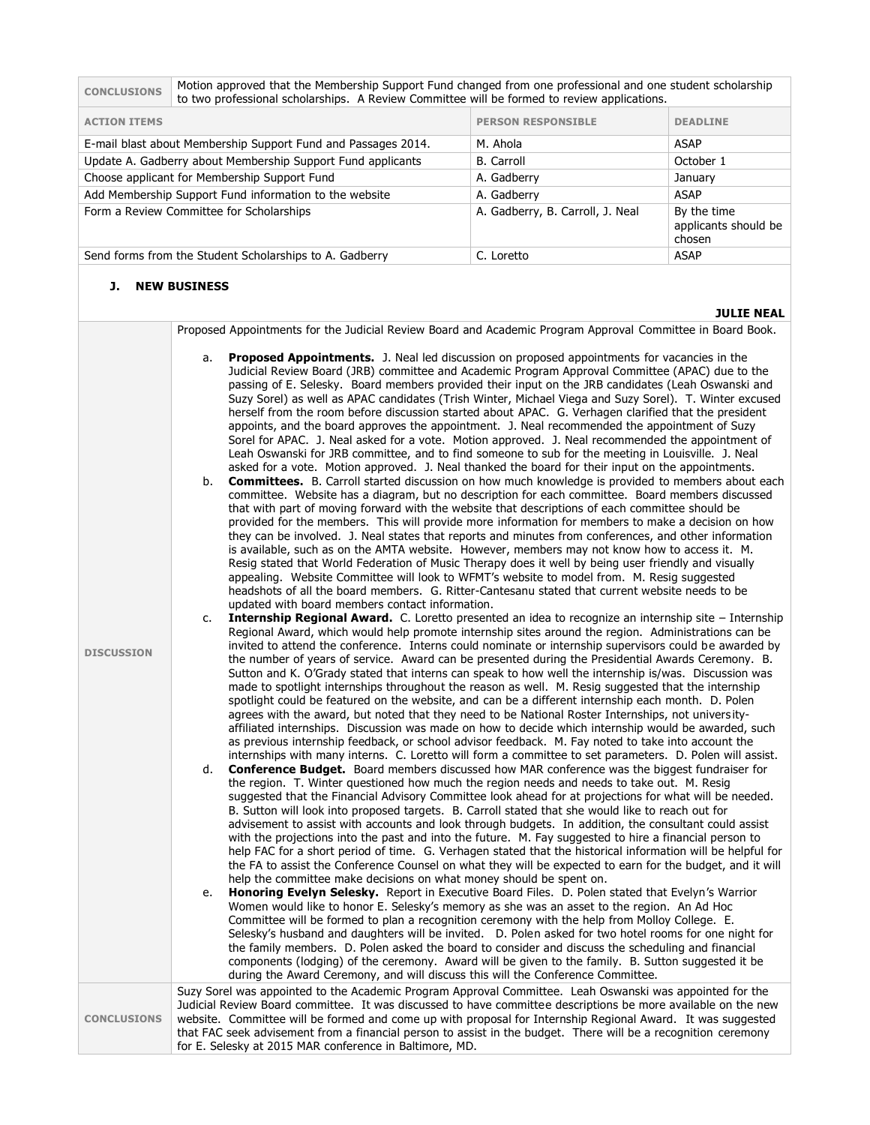| <b>CONCLUSIONS</b>                                            | Motion approved that the Membership Support Fund changed from one professional and one student scholarship<br>to two professional scholarships. A Review Committee will be formed to review applications. |                                  |                                               |
|---------------------------------------------------------------|-----------------------------------------------------------------------------------------------------------------------------------------------------------------------------------------------------------|----------------------------------|-----------------------------------------------|
| <b>ACTION ITEMS</b>                                           |                                                                                                                                                                                                           | <b>PERSON RESPONSIBLE</b>        | <b>DEADLINE</b>                               |
| E-mail blast about Membership Support Fund and Passages 2014. |                                                                                                                                                                                                           | M. Ahola                         | <b>ASAP</b>                                   |
| Update A. Gadberry about Membership Support Fund applicants   |                                                                                                                                                                                                           | <b>B.</b> Carroll                | October 1                                     |
| Choose applicant for Membership Support Fund                  |                                                                                                                                                                                                           | A. Gadberry                      | January                                       |
| Add Membership Support Fund information to the website        |                                                                                                                                                                                                           | A. Gadberry                      | <b>ASAP</b>                                   |
| Form a Review Committee for Scholarships                      |                                                                                                                                                                                                           | A. Gadberry, B. Carroll, J. Neal | By the time<br>applicants should be<br>chosen |
| Send forms from the Student Scholarships to A. Gadberry       |                                                                                                                                                                                                           | C. Loretto                       | <b>ASAP</b>                                   |
|                                                               |                                                                                                                                                                                                           |                                  |                                               |

### **J. NEW BUSINESS**

**DISCUSSION**

#### **JULIE NEAL**

Proposed Appointments for the Judicial Review Board and Academic Program Approval Committee in Board Book.

- a. **Proposed Appointments.** J. Neal led discussion on proposed appointments for vacancies in the Judicial Review Board (JRB) committee and Academic Program Approval Committee (APAC) due to the passing of E. Selesky. Board members provided their input on the JRB candidates (Leah Oswanski and Suzy Sorel) as well as APAC candidates (Trish Winter, Michael Viega and Suzy Sorel). T. Winter excused herself from the room before discussion started about APAC. G. Verhagen clarified that the president appoints, and the board approves the appointment. J. Neal recommended the appointment of Suzy Sorel for APAC. J. Neal asked for a vote. Motion approved. J. Neal recommended the appointment of Leah Oswanski for JRB committee, and to find someone to sub for the meeting in Louisville. J. Neal asked for a vote. Motion approved. J. Neal thanked the board for their input on the appointments.
- b. **Committees.** B. Carroll started discussion on how much knowledge is provided to members about each committee. Website has a diagram, but no description for each committee. Board members discussed that with part of moving forward with the website that descriptions of each committee should be provided for the members. This will provide more information for members to make a decision on how they can be involved. J. Neal states that reports and minutes from conferences, and other information is available, such as on the AMTA website. However, members may not know how to access it. M. Resig stated that World Federation of Music Therapy does it well by being user friendly and visually appealing. Website Committee will look to WFMT's website to model from. M. Resig suggested headshots of all the board members. G. Ritter-Cantesanu stated that current website needs to be updated with board members contact information.
- c. **Internship Regional Award.** C. Loretto presented an idea to recognize an internship site Internship Regional Award, which would help promote internship sites around the region. Administrations can be invited to attend the conference. Interns could nominate or internship supervisors could be awarded by the number of years of service. Award can be presented during the Presidential Awards Ceremony. B. Sutton and K. O'Grady stated that interns can speak to how well the internship is/was. Discussion was made to spotlight internships throughout the reason as well. M. Resig suggested that the internship spotlight could be featured on the website, and can be a different internship each month. D. Polen agrees with the award, but noted that they need to be National Roster Internships, not univers ityaffiliated internships. Discussion was made on how to decide which internship would be awarded, such as previous internship feedback, or school advisor feedback. M. Fay noted to take into account the internships with many interns. C. Loretto will form a committee to set parameters. D. Polen will assist.
	- **Conference Budget.** Board members discussed how MAR conference was the biggest fundraiser for the region. T. Winter questioned how much the region needs and needs to take out. M. Resig suggested that the Financial Advisory Committee look ahead for at projections for what will be needed. B. Sutton will look into proposed targets. B. Carroll stated that she would like to reach out for advisement to assist with accounts and look through budgets. In addition, the consultant could assist with the projections into the past and into the future. M. Fay suggested to hire a financial person to help FAC for a short period of time. G. Verhagen stated that the historical information will be helpful for the FA to assist the Conference Counsel on what they will be expected to earn for the budget, and it will help the committee make decisions on what money should be spent on.
	- e. **Honoring Evelyn Selesky.** Report in Executive Board Files. D. Polen stated that Evelyn's Warrior Women would like to honor E. Selesky's memory as she was an asset to the region. An Ad Hoc Committee will be formed to plan a recognition ceremony with the help from Molloy College. E. Selesky's husband and daughters will be invited. D. Polen asked for two hotel rooms for one night for the family members. D. Polen asked the board to consider and discuss the scheduling and financial components (lodging) of the ceremony. Award will be given to the family. B. Sutton suggested it be during the Award Ceremony, and will discuss this will the Conference Committee.

**CONCLUSIONS** Suzy Sorel was appointed to the Academic Program Approval Committee. Leah Oswanski was appointed for the Judicial Review Board committee. It was discussed to have committee descriptions be more available on the new website. Committee will be formed and come up with proposal for Internship Regional Award. It was suggested that FAC seek advisement from a financial person to assist in the budget. There will be a recognition ceremony for E. Selesky at 2015 MAR conference in Baltimore, MD.